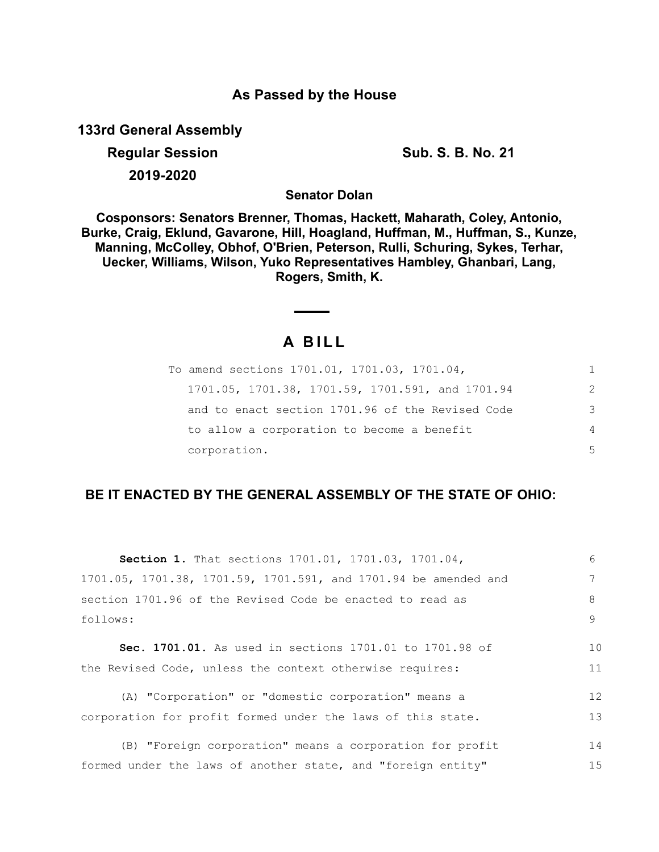# **As Passed by the House**

**133rd General Assembly**

**Regular Session Sub. S. B. No. 21 2019-2020**

**Senator Dolan**

**Cosponsors: Senators Brenner, Thomas, Hackett, Maharath, Coley, Antonio, Burke, Craig, Eklund, Gavarone, Hill, Hoagland, Huffman, M., Huffman, S., Kunze, Manning, McColley, Obhof, O'Brien, Peterson, Rulli, Schuring, Sykes, Terhar, Uecker, Williams, Wilson, Yuko Representatives Hambley, Ghanbari, Lang, Rogers, Smith, K.**

# **A B I L L**

 $\overline{\phantom{a}}$ 

| To amend sections 1701.01, 1701.03, 1701.04,     | 1. |
|--------------------------------------------------|----|
| 1701.05, 1701.38, 1701.59, 1701.591, and 1701.94 | 2  |
| and to enact section 1701.96 of the Revised Code | 3  |
| to allow a corporation to become a benefit       | 4  |
| corporation.                                     | 5  |

# **BE IT ENACTED BY THE GENERAL ASSEMBLY OF THE STATE OF OHIO:**

| Section 1. That sections 1701.01, 1701.03, 1701.04,             | 6  |
|-----------------------------------------------------------------|----|
| 1701.05, 1701.38, 1701.59, 1701.591, and 1701.94 be amended and |    |
| section 1701.96 of the Revised Code be enacted to read as       | 8  |
| follows:                                                        | 9  |
| Sec. 1701.01. As used in sections 1701.01 to 1701.98 of         | 10 |
|                                                                 |    |
| the Revised Code, unless the context otherwise requires:        | 11 |
| (A) "Corporation" or "domestic corporation" means a             | 12 |
| corporation for profit formed under the laws of this state.     | 13 |
|                                                                 |    |
| (B) "Foreign corporation" means a corporation for profit        | 14 |
| formed under the laws of another state, and "foreign entity"    | 15 |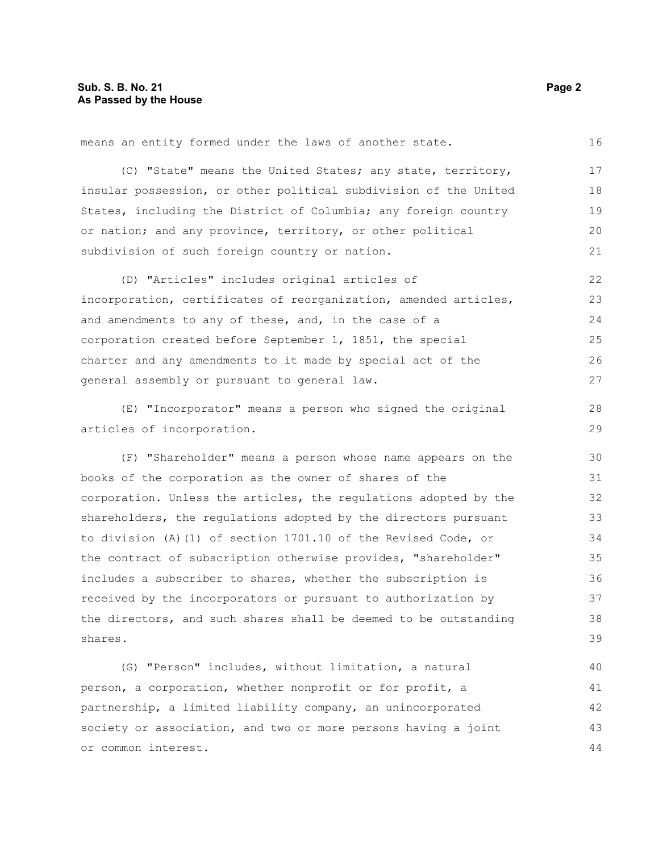means an entity formed under the laws of another state.

(C) "State" means the United States; any state, territory, insular possession, or other political subdivision of the United States, including the District of Columbia; any foreign country or nation; and any province, territory, or other political subdivision of such foreign country or nation. 17 18 19 20 21

(D) "Articles" includes original articles of incorporation, certificates of reorganization, amended articles, and amendments to any of these, and, in the case of a corporation created before September 1, 1851, the special charter and any amendments to it made by special act of the general assembly or pursuant to general law. 22 23 24 25 26 27

(E) "Incorporator" means a person who signed the original articles of incorporation.

(F) "Shareholder" means a person whose name appears on the books of the corporation as the owner of shares of the corporation. Unless the articles, the regulations adopted by the shareholders, the regulations adopted by the directors pursuant to division (A)(1) of section 1701.10 of the Revised Code, or the contract of subscription otherwise provides, "shareholder" includes a subscriber to shares, whether the subscription is received by the incorporators or pursuant to authorization by the directors, and such shares shall be deemed to be outstanding shares. 30 31 32 33 34 35 36 37 38 39

(G) "Person" includes, without limitation, a natural person, a corporation, whether nonprofit or for profit, a partnership, a limited liability company, an unincorporated society or association, and two or more persons having a joint or common interest. 40 41 42 43 44

16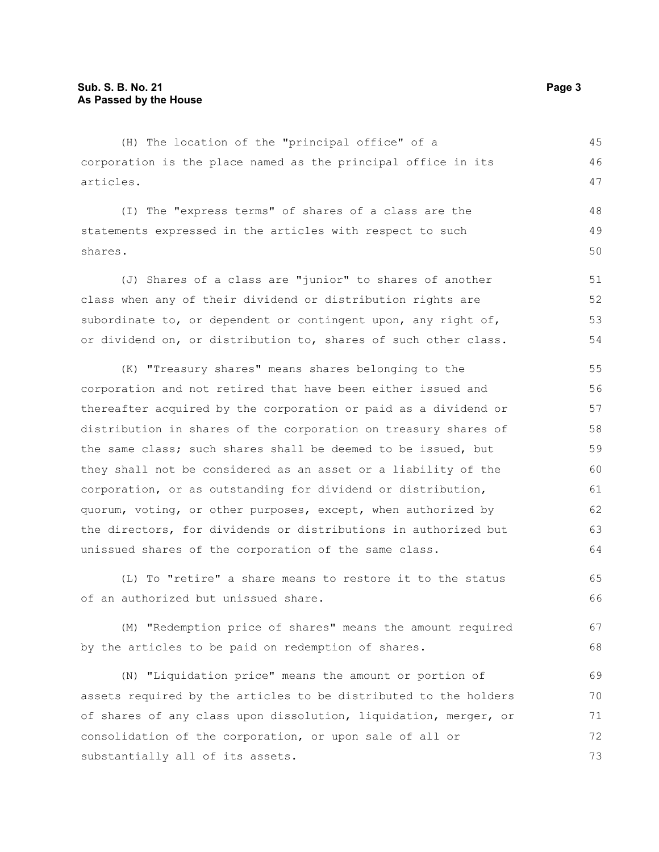(H) The location of the "principal office" of a corporation is the place named as the principal office in its articles. 45 46 47

(I) The "express terms" of shares of a class are the statements expressed in the articles with respect to such shares. 48 49 50

(J) Shares of a class are "junior" to shares of another class when any of their dividend or distribution rights are subordinate to, or dependent or contingent upon, any right of, or dividend on, or distribution to, shares of such other class. 51 52 53 54

(K) "Treasury shares" means shares belonging to the corporation and not retired that have been either issued and thereafter acquired by the corporation or paid as a dividend or distribution in shares of the corporation on treasury shares of the same class; such shares shall be deemed to be issued, but they shall not be considered as an asset or a liability of the corporation, or as outstanding for dividend or distribution, quorum, voting, or other purposes, except, when authorized by the directors, for dividends or distributions in authorized but unissued shares of the corporation of the same class. 55 56 57 58 59 60 61 62 63 64

(L) To "retire" a share means to restore it to the status of an authorized but unissued share. 65 66

(M) "Redemption price of shares" means the amount required by the articles to be paid on redemption of shares. 67 68

(N) "Liquidation price" means the amount or portion of assets required by the articles to be distributed to the holders of shares of any class upon dissolution, liquidation, merger, or consolidation of the corporation, or upon sale of all or substantially all of its assets. 69 70 71 72 73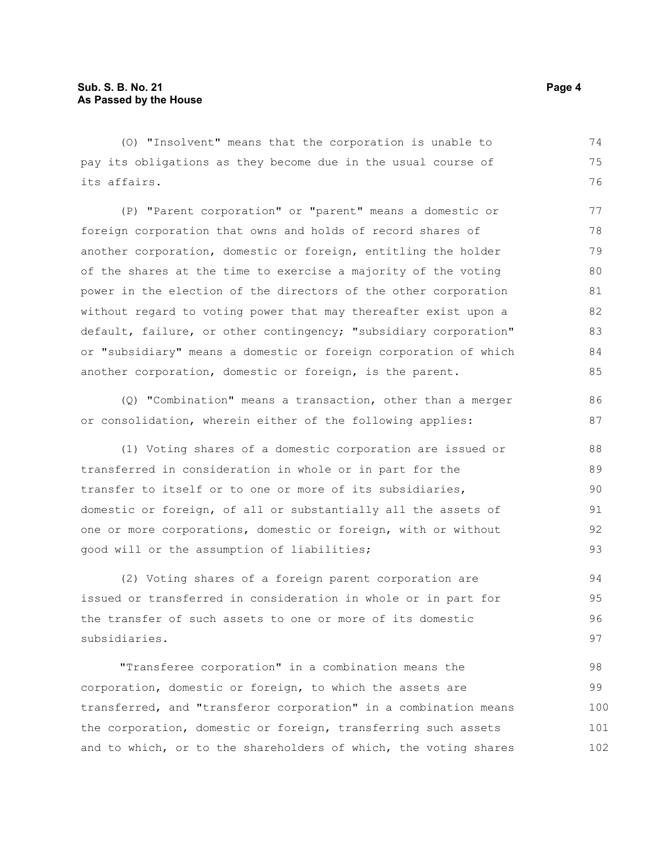(O) "Insolvent" means that the corporation is unable to pay its obligations as they become due in the usual course of its affairs. 74 75 76

(P) "Parent corporation" or "parent" means a domestic or foreign corporation that owns and holds of record shares of another corporation, domestic or foreign, entitling the holder of the shares at the time to exercise a majority of the voting power in the election of the directors of the other corporation without regard to voting power that may thereafter exist upon a default, failure, or other contingency; "subsidiary corporation" or "subsidiary" means a domestic or foreign corporation of which another corporation, domestic or foreign, is the parent. 77 78 79 80 81 82 83 84 85

(Q) "Combination" means a transaction, other than a merger or consolidation, wherein either of the following applies:

(1) Voting shares of a domestic corporation are issued or transferred in consideration in whole or in part for the transfer to itself or to one or more of its subsidiaries, domestic or foreign, of all or substantially all the assets of one or more corporations, domestic or foreign, with or without good will or the assumption of liabilities; 91

(2) Voting shares of a foreign parent corporation are issued or transferred in consideration in whole or in part for the transfer of such assets to one or more of its domestic subsidiaries. 94 95 96 97

"Transferee corporation" in a combination means the corporation, domestic or foreign, to which the assets are transferred, and "transferor corporation" in a combination means the corporation, domestic or foreign, transferring such assets and to which, or to the shareholders of which, the voting shares 98 99 100 101 102

86 87

88 89 90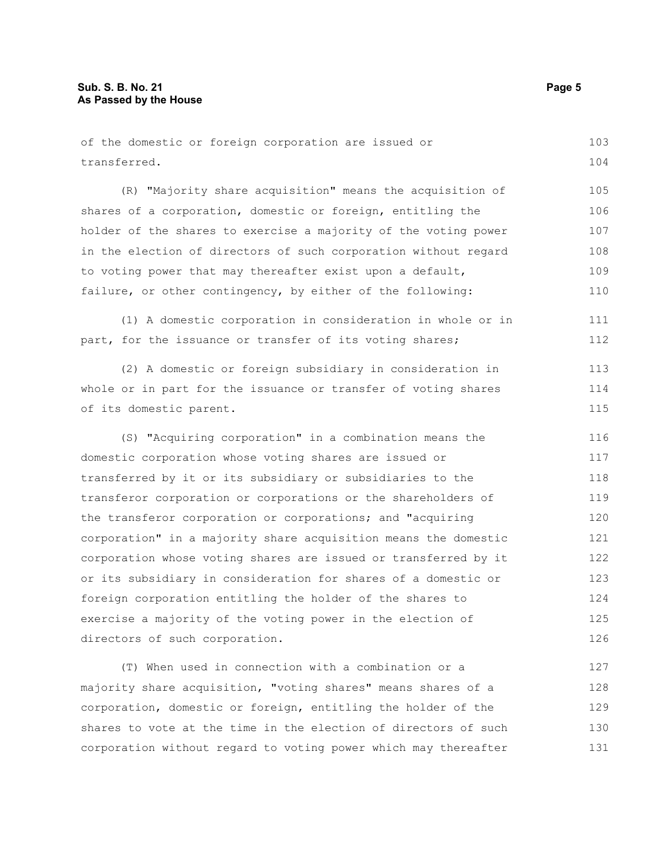| of the domestic or foreign corporation are issued or            | 103 |
|-----------------------------------------------------------------|-----|
| transferred.                                                    | 104 |
| (R) "Majority share acquisition" means the acquisition of       | 105 |
| shares of a corporation, domestic or foreign, entitling the     | 106 |
| holder of the shares to exercise a majority of the voting power | 107 |
| in the election of directors of such corporation without regard | 108 |
| to voting power that may thereafter exist upon a default,       | 109 |
| failure, or other contingency, by either of the following:      | 110 |
| (1) A domestic corporation in consideration in whole or in      | 111 |
| part, for the issuance or transfer of its voting shares;        | 112 |
| (2) A domestic or foreign subsidiary in consideration in        | 113 |
| whole or in part for the issuance or transfer of voting shares  | 114 |
| of its domestic parent.                                         | 115 |
| (S) "Acquiring corporation" in a combination means the          | 116 |
| domestic corporation whose voting shares are issued or          | 117 |
| transferred by it or its subsidiary or subsidiaries to the      | 118 |
| transferor corporation or corporations or the shareholders of   | 119 |
| the transferor corporation or corporations; and "acquiring      | 120 |
| corporation" in a majority share acquisition means the domestic | 121 |
| corporation whose voting shares are issued or transferred by it | 122 |
| or its subsidiary in consideration for shares of a domestic or  | 123 |
| foreign corporation entitling the holder of the shares to       | 124 |
| exercise a majority of the voting power in the election of      | 125 |
| directors of such corporation.                                  | 126 |
| (T) When used in connection with a combination or a             | 127 |
| majority share acquisition, "voting shares" means shares of a   | 128 |
|                                                                 |     |

corporation without regard to voting power which may thereafter

corporation, domestic or foreign, entitling the holder of the shares to vote at the time in the election of directors of such 129 130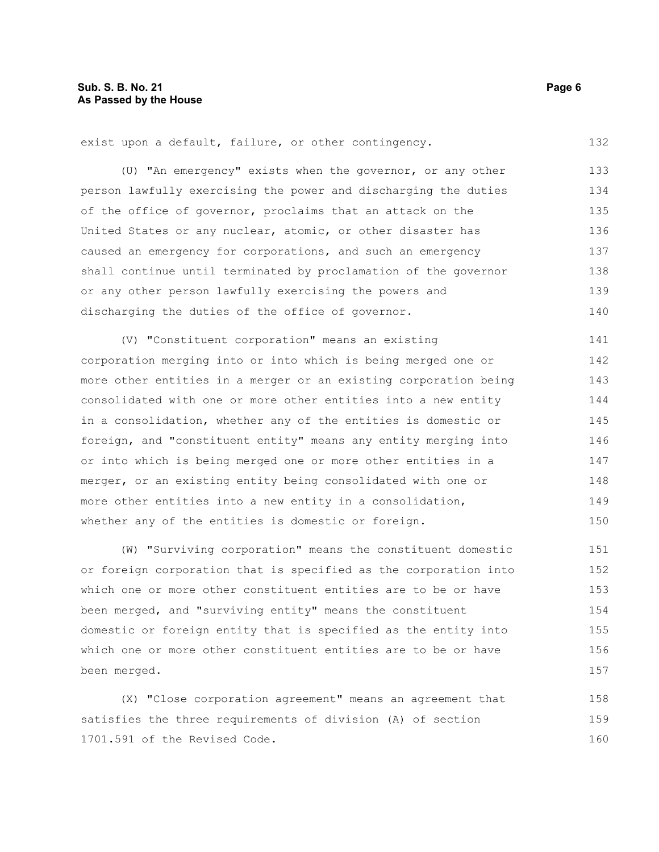exist upon a default, failure, or other contingency.

(U) "An emergency" exists when the governor, or any other person lawfully exercising the power and discharging the duties of the office of governor, proclaims that an attack on the United States or any nuclear, atomic, or other disaster has caused an emergency for corporations, and such an emergency shall continue until terminated by proclamation of the governor or any other person lawfully exercising the powers and discharging the duties of the office of governor. 133 134 135 136 137 138 139 140

(V) "Constituent corporation" means an existing corporation merging into or into which is being merged one or more other entities in a merger or an existing corporation being consolidated with one or more other entities into a new entity in a consolidation, whether any of the entities is domestic or foreign, and "constituent entity" means any entity merging into or into which is being merged one or more other entities in a merger, or an existing entity being consolidated with one or more other entities into a new entity in a consolidation, whether any of the entities is domestic or foreign. 141 142 143 144 145 146 147 148 149 150

(W) "Surviving corporation" means the constituent domestic or foreign corporation that is specified as the corporation into which one or more other constituent entities are to be or have been merged, and "surviving entity" means the constituent domestic or foreign entity that is specified as the entity into which one or more other constituent entities are to be or have been merged. 151 152 153 154 155 156 157

(X) "Close corporation agreement" means an agreement that satisfies the three requirements of division (A) of section 1701.591 of the Revised Code. 158 159 160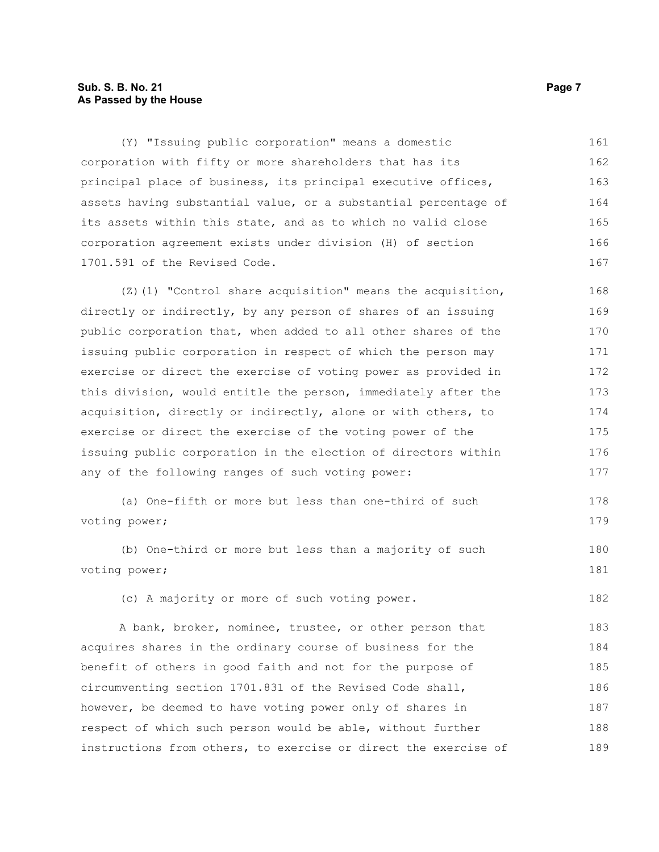# **Sub. S. B. No. 21 Page 7 As Passed by the House**

(Y) "Issuing public corporation" means a domestic corporation with fifty or more shareholders that has its principal place of business, its principal executive offices, assets having substantial value, or a substantial percentage of its assets within this state, and as to which no valid close corporation agreement exists under division (H) of section 1701.591 of the Revised Code. 161 162 163 164 165 166 167

 $(2)(1)$  "Control share acquisition" means the acquisition, directly or indirectly, by any person of shares of an issuing public corporation that, when added to all other shares of the issuing public corporation in respect of which the person may exercise or direct the exercise of voting power as provided in this division, would entitle the person, immediately after the acquisition, directly or indirectly, alone or with others, to exercise or direct the exercise of the voting power of the issuing public corporation in the election of directors within any of the following ranges of such voting power: 168 169 170 171 172 173 174 175 176 177

```
(a) One-fifth or more but less than one-third of such
voting power;
                                                                            178
                                                                            179
```
(b) One-third or more but less than a majority of such voting power;

(c) A majority or more of such voting power.

A bank, broker, nominee, trustee, or other person that acquires shares in the ordinary course of business for the benefit of others in good faith and not for the purpose of circumventing section 1701.831 of the Revised Code shall, however, be deemed to have voting power only of shares in respect of which such person would be able, without further instructions from others, to exercise or direct the exercise of 183 184 185 186 187 188 189

180 181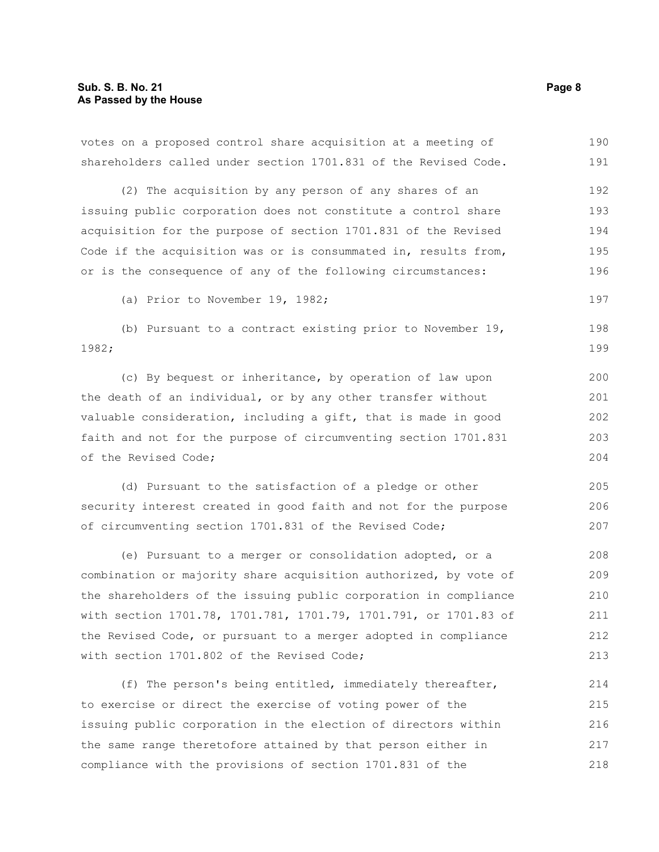votes on a proposed control share acquisition at a meeting of shareholders called under section 1701.831 of the Revised Code. 190 191

(2) The acquisition by any person of any shares of an issuing public corporation does not constitute a control share acquisition for the purpose of section 1701.831 of the Revised Code if the acquisition was or is consummated in, results from, or is the consequence of any of the following circumstances: 192 193 194 195 196

(a) Prior to November 19, 1982;

(b) Pursuant to a contract existing prior to November 19, 1982; 198 199

(c) By bequest or inheritance, by operation of law upon the death of an individual, or by any other transfer without valuable consideration, including a gift, that is made in good faith and not for the purpose of circumventing section 1701.831 of the Revised Code; 200

(d) Pursuant to the satisfaction of a pledge or other security interest created in good faith and not for the purpose of circumventing section 1701.831 of the Revised Code;

(e) Pursuant to a merger or consolidation adopted, or a combination or majority share acquisition authorized, by vote of the shareholders of the issuing public corporation in compliance with section 1701.78, 1701.781, 1701.79, 1701.791, or 1701.83 of the Revised Code, or pursuant to a merger adopted in compliance with section 1701.802 of the Revised Code; 208 209 210 211 212 213

(f) The person's being entitled, immediately thereafter, to exercise or direct the exercise of voting power of the issuing public corporation in the election of directors within the same range theretofore attained by that person either in compliance with the provisions of section 1701.831 of the 214 215 216 217 218

197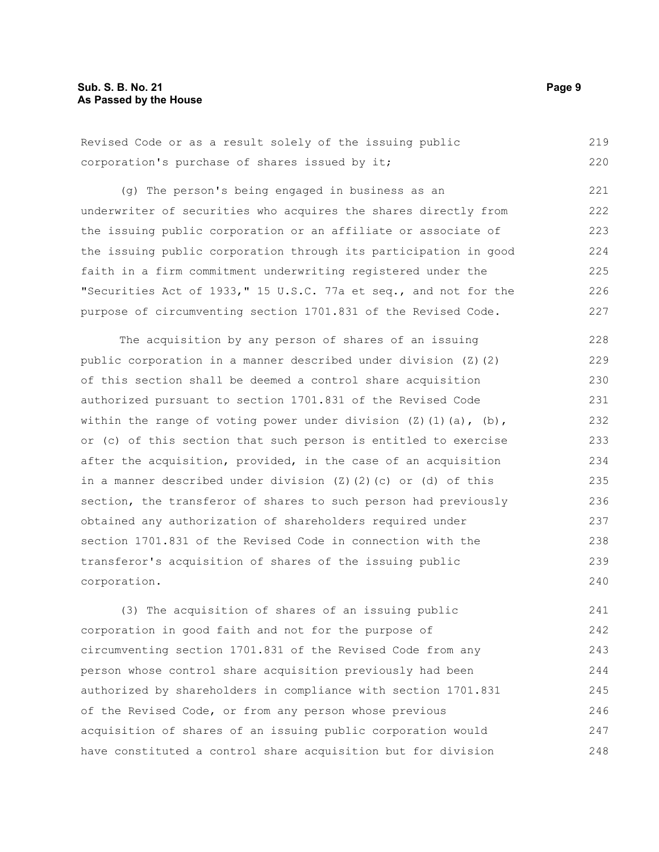| Revised Code or as a result solely of the issuing public |  |  |  |  |  |  | 219 |
|----------------------------------------------------------|--|--|--|--|--|--|-----|
| corporation's purchase of shares issued by it;           |  |  |  |  |  |  | 220 |

(g) The person's being engaged in business as an underwriter of securities who acquires the shares directly from the issuing public corporation or an affiliate or associate of the issuing public corporation through its participation in good faith in a firm commitment underwriting registered under the "Securities Act of 1933," 15 U.S.C. 77a et seq., and not for the purpose of circumventing section 1701.831 of the Revised Code. 221 222 223 224 225 226 227

The acquisition by any person of shares of an issuing public corporation in a manner described under division (Z)(2) of this section shall be deemed a control share acquisition authorized pursuant to section 1701.831 of the Revised Code within the range of voting power under division  $(Z)$  (1)(a), (b), or (c) of this section that such person is entitled to exercise after the acquisition, provided, in the case of an acquisition in a manner described under division (Z)(2)(c) or (d) of this section, the transferor of shares to such person had previously obtained any authorization of shareholders required under section 1701.831 of the Revised Code in connection with the transferor's acquisition of shares of the issuing public corporation. 228 229 230 231 232 233 234 235 236 237 238 239 240

(3) The acquisition of shares of an issuing public corporation in good faith and not for the purpose of circumventing section 1701.831 of the Revised Code from any person whose control share acquisition previously had been authorized by shareholders in compliance with section 1701.831 of the Revised Code, or from any person whose previous acquisition of shares of an issuing public corporation would have constituted a control share acquisition but for division 241 242 243 244 245 246 247 248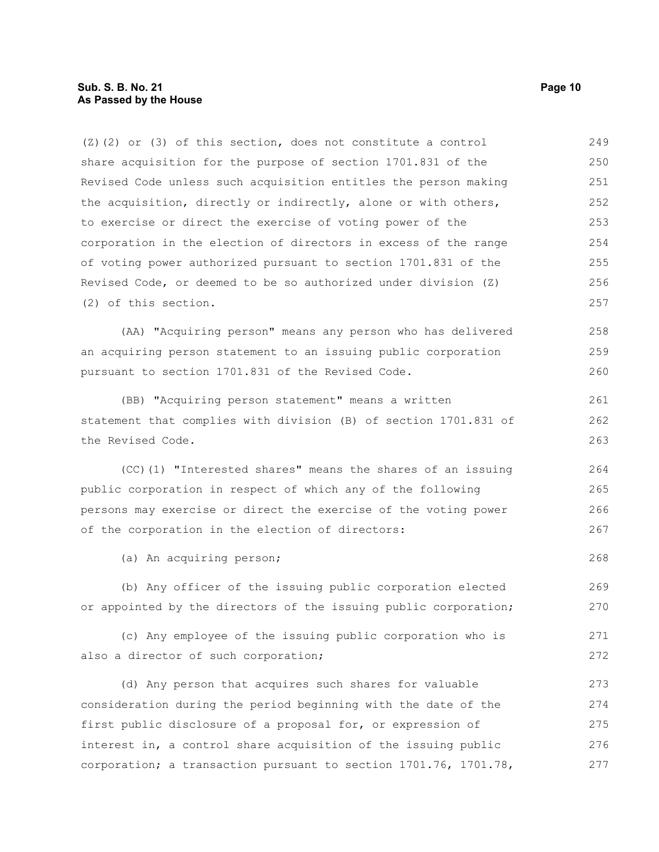(Z)(2) or (3) of this section, does not constitute a control share acquisition for the purpose of section 1701.831 of the Revised Code unless such acquisition entitles the person making the acquisition, directly or indirectly, alone or with others, to exercise or direct the exercise of voting power of the corporation in the election of directors in excess of the range of voting power authorized pursuant to section 1701.831 of the Revised Code, or deemed to be so authorized under division (Z) (2) of this section. 249 250 251 252 253 254 255 256 257

(AA) "Acquiring person" means any person who has delivered an acquiring person statement to an issuing public corporation pursuant to section 1701.831 of the Revised Code. 258 259 260

(BB) "Acquiring person statement" means a written statement that complies with division (B) of section 1701.831 of the Revised Code.

(CC)(1) "Interested shares" means the shares of an issuing public corporation in respect of which any of the following persons may exercise or direct the exercise of the voting power of the corporation in the election of directors:

(a) An acquiring person;

(b) Any officer of the issuing public corporation elected or appointed by the directors of the issuing public corporation; 269 270

(c) Any employee of the issuing public corporation who is also a director of such corporation; 271 272

(d) Any person that acquires such shares for valuable consideration during the period beginning with the date of the first public disclosure of a proposal for, or expression of interest in, a control share acquisition of the issuing public corporation; a transaction pursuant to section 1701.76, 1701.78, 273 274 275 276 277

261 262 263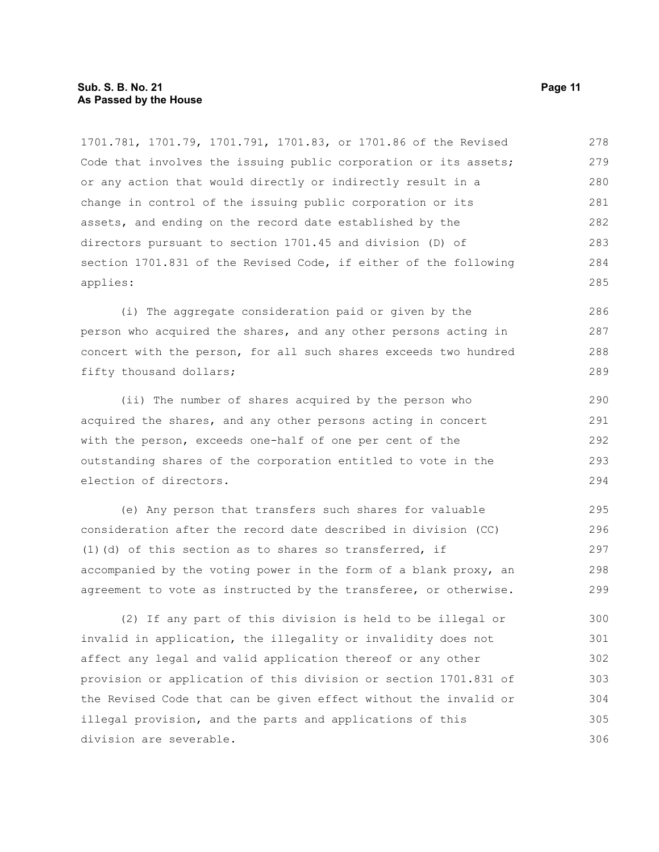#### **Sub. S. B. No. 21 Page 11 As Passed by the House**

1701.781, 1701.79, 1701.791, 1701.83, or 1701.86 of the Revised Code that involves the issuing public corporation or its assets; or any action that would directly or indirectly result in a change in control of the issuing public corporation or its assets, and ending on the record date established by the directors pursuant to section 1701.45 and division (D) of section 1701.831 of the Revised Code, if either of the following applies: 278 279 280 281 282 283 284 285

(i) The aggregate consideration paid or given by the person who acquired the shares, and any other persons acting in concert with the person, for all such shares exceeds two hundred fifty thousand dollars;

(ii) The number of shares acquired by the person who acquired the shares, and any other persons acting in concert with the person, exceeds one-half of one per cent of the outstanding shares of the corporation entitled to vote in the election of directors.

(e) Any person that transfers such shares for valuable consideration after the record date described in division (CC) (1)(d) of this section as to shares so transferred, if accompanied by the voting power in the form of a blank proxy, an agreement to vote as instructed by the transferee, or otherwise. 295 296 297 298 299

(2) If any part of this division is held to be illegal or invalid in application, the illegality or invalidity does not affect any legal and valid application thereof or any other provision or application of this division or section 1701.831 of the Revised Code that can be given effect without the invalid or illegal provision, and the parts and applications of this division are severable. 300 301 302 303 304 305 306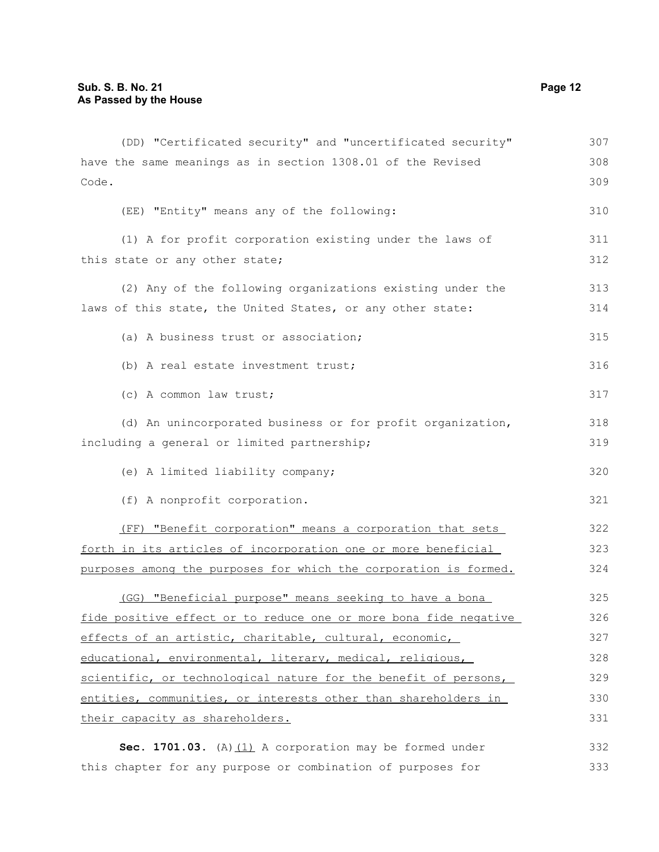| (DD) "Certificated security" and "uncertificated security"       | 307 |
|------------------------------------------------------------------|-----|
| have the same meanings as in section 1308.01 of the Revised      | 308 |
| Code.                                                            | 309 |
| (EE) "Entity" means any of the following:                        | 310 |
| (1) A for profit corporation existing under the laws of          | 311 |
| this state or any other state;                                   | 312 |
| (2) Any of the following organizations existing under the        | 313 |
| laws of this state, the United States, or any other state:       | 314 |
| (a) A business trust or association;                             | 315 |
| (b) A real estate investment trust;                              | 316 |
| (c) A common law trust;                                          | 317 |
| (d) An unincorporated business or for profit organization,       | 318 |
| including a general or limited partnership;                      | 319 |
| (e) A limited liability company;                                 | 320 |
| (f) A nonprofit corporation.                                     | 321 |
| (FF) "Benefit corporation" means a corporation that sets         | 322 |
| forth in its articles of incorporation one or more beneficial    | 323 |
| purposes among the purposes for which the corporation is formed. | 324 |
| (GG) "Beneficial purpose" means seeking to have a bona           | 325 |
| fide positive effect or to reduce one or more bona fide negative | 326 |
| effects of an artistic, charitable, cultural, economic,          | 327 |
| educational, environmental, literary, medical, religious,        | 328 |
| scientific, or technological nature for the benefit of persons,  | 329 |
| entities, communities, or interests other than shareholders in   | 330 |
| their capacity as shareholders.                                  | 331 |
| Sec. 1701.03. (A) $(1)$ A corporation may be formed under        | 332 |
| this chapter for any purpose or combination of purposes for      | 333 |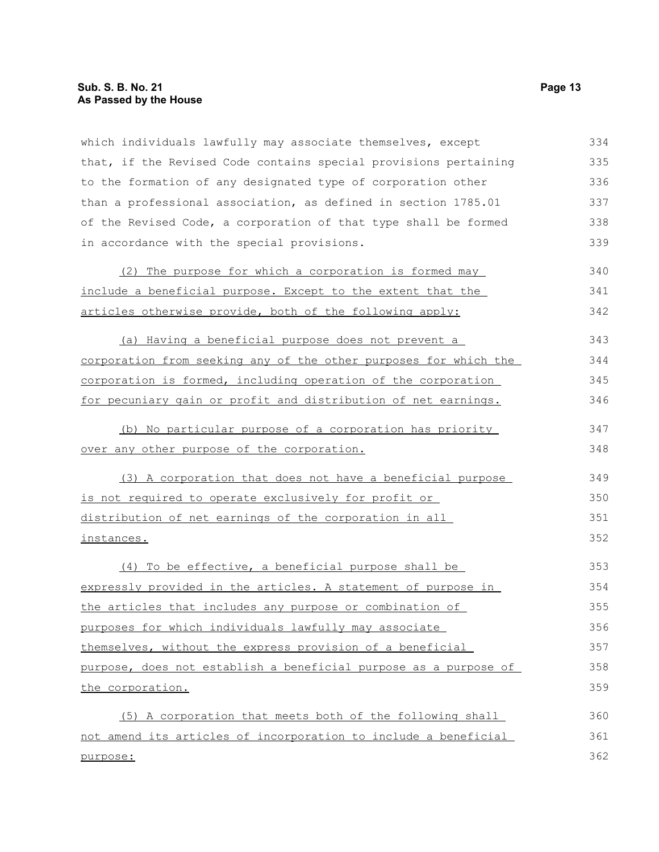# **Sub. S. B. No. 21 Page 13 As Passed by the House**

which individuals lawfully may associate themselves, except that, if the Revised Code contains special provisions pertaining to the formation of any designated type of corporation other than a professional association, as defined in section 1785.01 of the Revised Code, a corporation of that type shall be formed in accordance with the special provisions. 334 335 336 337 338 339

| (2) The purpose for which a corporation is formed may       | 340 |
|-------------------------------------------------------------|-----|
| include a beneficial purpose. Except to the extent that the | 341 |
| articles otherwise provide, both of the following apply:    | 342 |

(a) Having a beneficial purpose does not prevent a corporation from seeking any of the other purposes for which the corporation is formed, including operation of the corporation for pecuniary gain or profit and distribution of net earnings. 343 344 345 346

(b) No particular purpose of a corporation has priority over any other purpose of the corporation.

(3) A corporation that does not have a beneficial purpose is not required to operate exclusively for profit or distribution of net earnings of the corporation in all instances. 349 350 351 352

(4) To be effective, a beneficial purpose shall be expressly provided in the articles. A statement of purpose in the articles that includes any purpose or combination of purposes for which individuals lawfully may associate themselves, without the express provision of a beneficial purpose, does not establish a beneficial purpose as a purpose of the corporation. 353 354 355 356 357 358 359

(5) A corporation that meets both of the following shall not amend its articles of incorporation to include a beneficial purpose: 360 361 362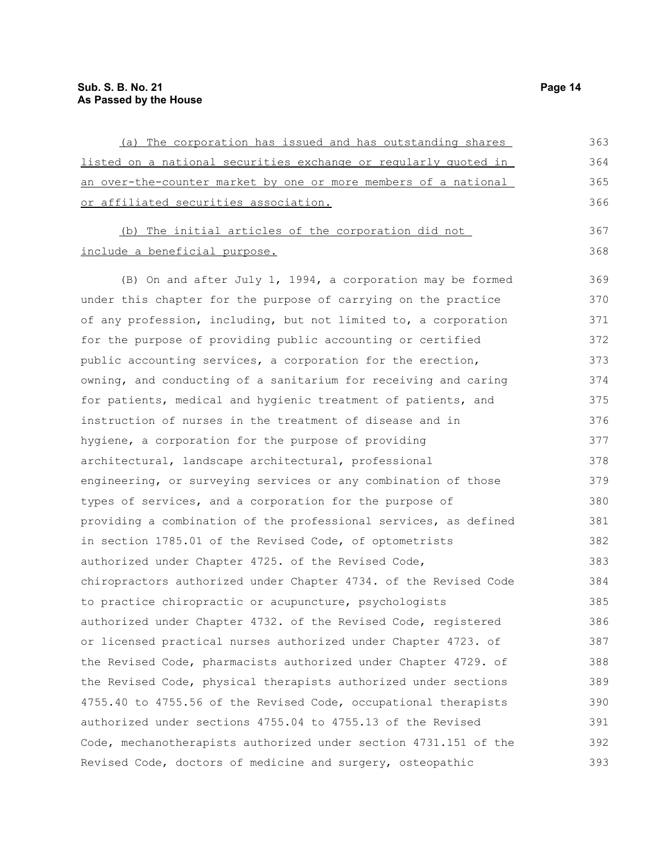| (a) The corporation has issued and has outstanding shares        | 363 |
|------------------------------------------------------------------|-----|
| listed on a national securities exchange or regularly quoted in  | 364 |
| an over-the-counter market by one or more members of a national  | 365 |
| or affiliated securities association.                            | 366 |
| (b) The initial articles of the corporation did not              | 367 |
| include a beneficial purpose.                                    | 368 |
| (B) On and after July 1, 1994, a corporation may be formed       | 369 |
| under this chapter for the purpose of carrying on the practice   | 370 |
| of any profession, including, but not limited to, a corporation  | 371 |
| for the purpose of providing public accounting or certified      | 372 |
| public accounting services, a corporation for the erection,      | 373 |
| owning, and conducting of a sanitarium for receiving and caring  | 374 |
| for patients, medical and hygienic treatment of patients, and    | 375 |
| instruction of nurses in the treatment of disease and in         | 376 |
| hygiene, a corporation for the purpose of providing              | 377 |
| architectural, landscape architectural, professional             | 378 |
| engineering, or surveying services or any combination of those   | 379 |
| types of services, and a corporation for the purpose of          | 380 |
| providing a combination of the professional services, as defined | 381 |
| in section 1785.01 of the Revised Code, of optometrists          | 382 |
| authorized under Chapter 4725. of the Revised Code,              | 383 |
| chiropractors authorized under Chapter 4734. of the Revised Code | 384 |
| to practice chiropractic or acupuncture, psychologists           | 385 |
| authorized under Chapter 4732. of the Revised Code, registered   | 386 |
| or licensed practical nurses authorized under Chapter 4723. of   | 387 |
| the Revised Code, pharmacists authorized under Chapter 4729. of  | 388 |
| the Revised Code, physical therapists authorized under sections  | 389 |
| 4755.40 to 4755.56 of the Revised Code, occupational therapists  | 390 |
| authorized under sections 4755.04 to 4755.13 of the Revised      | 391 |
| Code, mechanotherapists authorized under section 4731.151 of the | 392 |
| Revised Code, doctors of medicine and surgery, osteopathic       | 393 |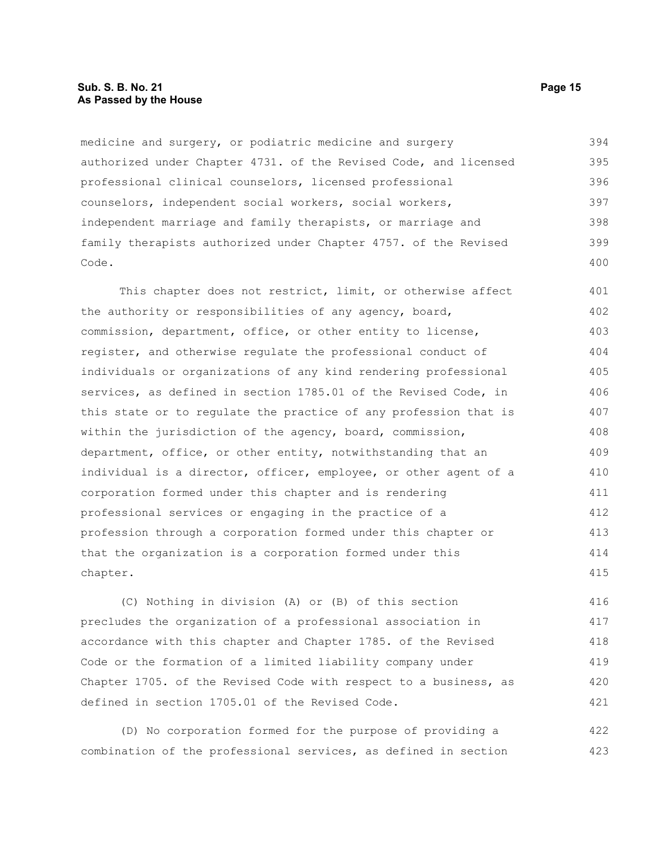medicine and surgery, or podiatric medicine and surgery authorized under Chapter 4731. of the Revised Code, and licensed professional clinical counselors, licensed professional counselors, independent social workers, social workers, independent marriage and family therapists, or marriage and family therapists authorized under Chapter 4757. of the Revised Code. 394 395 396 397 398 399 400

This chapter does not restrict, limit, or otherwise affect the authority or responsibilities of any agency, board, commission, department, office, or other entity to license, register, and otherwise regulate the professional conduct of individuals or organizations of any kind rendering professional services, as defined in section 1785.01 of the Revised Code, in this state or to regulate the practice of any profession that is within the jurisdiction of the agency, board, commission, department, office, or other entity, notwithstanding that an individual is a director, officer, employee, or other agent of a corporation formed under this chapter and is rendering professional services or engaging in the practice of a profession through a corporation formed under this chapter or that the organization is a corporation formed under this chapter. 401 402 403 404 405 406 407 408 409 410 411 412 413 414 415

(C) Nothing in division (A) or (B) of this section precludes the organization of a professional association in accordance with this chapter and Chapter 1785. of the Revised Code or the formation of a limited liability company under Chapter 1705. of the Revised Code with respect to a business, as defined in section 1705.01 of the Revised Code. 416 417 418 419 420 421

(D) No corporation formed for the purpose of providing a combination of the professional services, as defined in section 422 423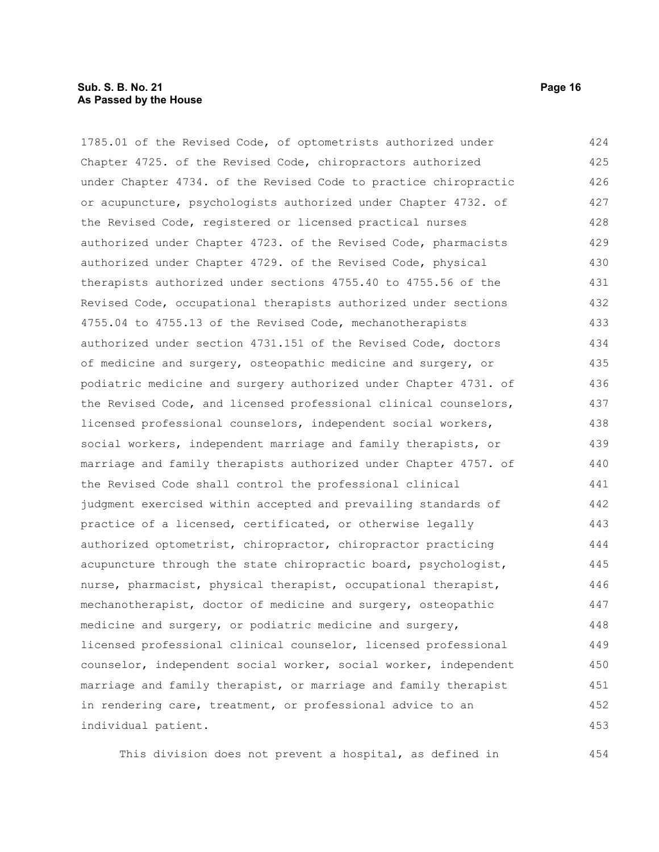#### **Sub. S. B. No. 21 Page 16 As Passed by the House**

1785.01 of the Revised Code, of optometrists authorized under Chapter 4725. of the Revised Code, chiropractors authorized under Chapter 4734. of the Revised Code to practice chiropractic or acupuncture, psychologists authorized under Chapter 4732. of the Revised Code, registered or licensed practical nurses authorized under Chapter 4723. of the Revised Code, pharmacists authorized under Chapter 4729. of the Revised Code, physical therapists authorized under sections 4755.40 to 4755.56 of the Revised Code, occupational therapists authorized under sections 4755.04 to 4755.13 of the Revised Code, mechanotherapists authorized under section 4731.151 of the Revised Code, doctors of medicine and surgery, osteopathic medicine and surgery, or podiatric medicine and surgery authorized under Chapter 4731. of the Revised Code, and licensed professional clinical counselors, licensed professional counselors, independent social workers, social workers, independent marriage and family therapists, or marriage and family therapists authorized under Chapter 4757. of the Revised Code shall control the professional clinical judgment exercised within accepted and prevailing standards of practice of a licensed, certificated, or otherwise legally authorized optometrist, chiropractor, chiropractor practicing acupuncture through the state chiropractic board, psychologist, nurse, pharmacist, physical therapist, occupational therapist, mechanotherapist, doctor of medicine and surgery, osteopathic medicine and surgery, or podiatric medicine and surgery, licensed professional clinical counselor, licensed professional counselor, independent social worker, social worker, independent marriage and family therapist, or marriage and family therapist in rendering care, treatment, or professional advice to an individual patient. 424 425 426 427 428 429 430 431 432 433 434 435 436 437 438 439 440 441 442 443 444 445 446 447 448 449 450 451 452 453

This division does not prevent a hospital, as defined in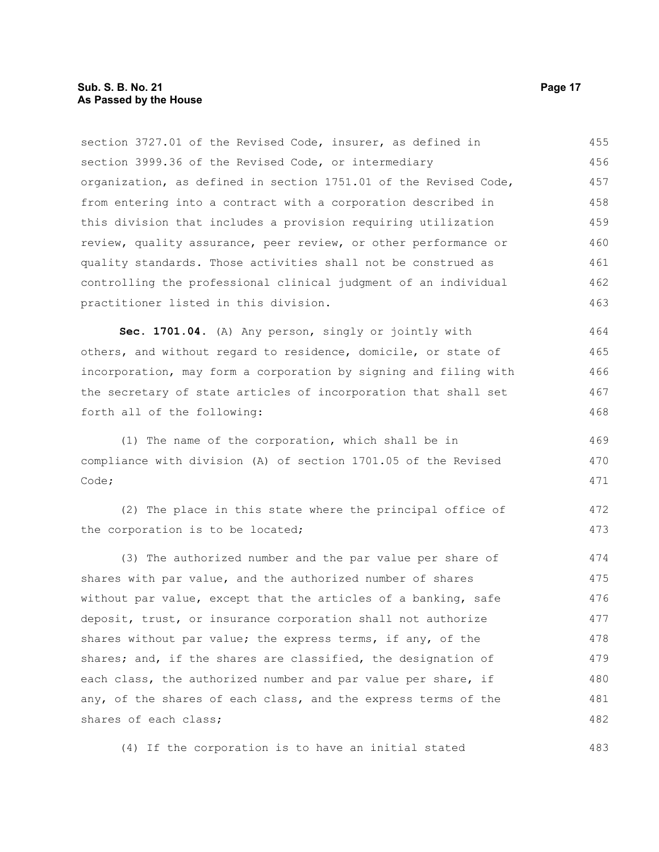### **Sub. S. B. No. 21 Page 17 As Passed by the House**

section 3727.01 of the Revised Code, insurer, as defined in section 3999.36 of the Revised Code, or intermediary organization, as defined in section 1751.01 of the Revised Code, from entering into a contract with a corporation described in this division that includes a provision requiring utilization review, quality assurance, peer review, or other performance or quality standards. Those activities shall not be construed as controlling the professional clinical judgment of an individual practitioner listed in this division. 455 456 457 458 459 460 461 462 463

**Sec. 1701.04.** (A) Any person, singly or jointly with others, and without regard to residence, domicile, or state of incorporation, may form a corporation by signing and filing with the secretary of state articles of incorporation that shall set forth all of the following: 464 465 466 467 468

(1) The name of the corporation, which shall be in compliance with division (A) of section 1701.05 of the Revised Code; 469 470 471

(2) The place in this state where the principal office of the corporation is to be located; 472 473

(3) The authorized number and the par value per share of shares with par value, and the authorized number of shares without par value, except that the articles of a banking, safe deposit, trust, or insurance corporation shall not authorize shares without par value; the express terms, if any, of the shares; and, if the shares are classified, the designation of each class, the authorized number and par value per share, if any, of the shares of each class, and the express terms of the shares of each class; 474 475 476 477 478 479 480 481 482

(4) If the corporation is to have an initial stated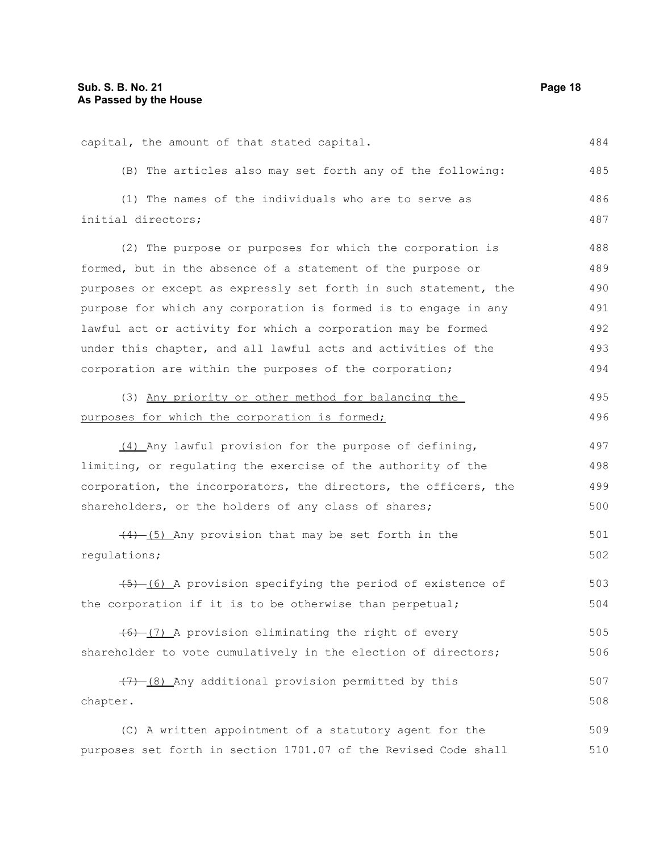capital, the amount of that stated capital. (B) The articles also may set forth any of the following: (1) The names of the individuals who are to serve as initial directors; (2) The purpose or purposes for which the corporation is formed, but in the absence of a statement of the purpose or purposes or except as expressly set forth in such statement, the purpose for which any corporation is formed is to engage in any lawful act or activity for which a corporation may be formed under this chapter, and all lawful acts and activities of the corporation are within the purposes of the corporation; (3) Any priority or other method for balancing the purposes for which the corporation is formed; (4) Any lawful provision for the purpose of defining, limiting, or regulating the exercise of the authority of the corporation, the incorporators, the directors, the officers, the shareholders, or the holders of any class of shares;  $(4)$  (5) Any provision that may be set forth in the regulations; (5) (6) A provision specifying the period of existence of the corporation if it is to be otherwise than perpetual;  $(6)$   $(7)$  A provision eliminating the right of every shareholder to vote cumulatively in the election of directors;  $(7)$  (8) Any additional provision permitted by this chapter. (C) A written appointment of a statutory agent for the purposes set forth in section 1701.07 of the Revised Code shall 484 485 486 487 488 489 490 491 492 493 494 495 496 497 498 499 500 501 502 503 504 505 506 507 508 509 510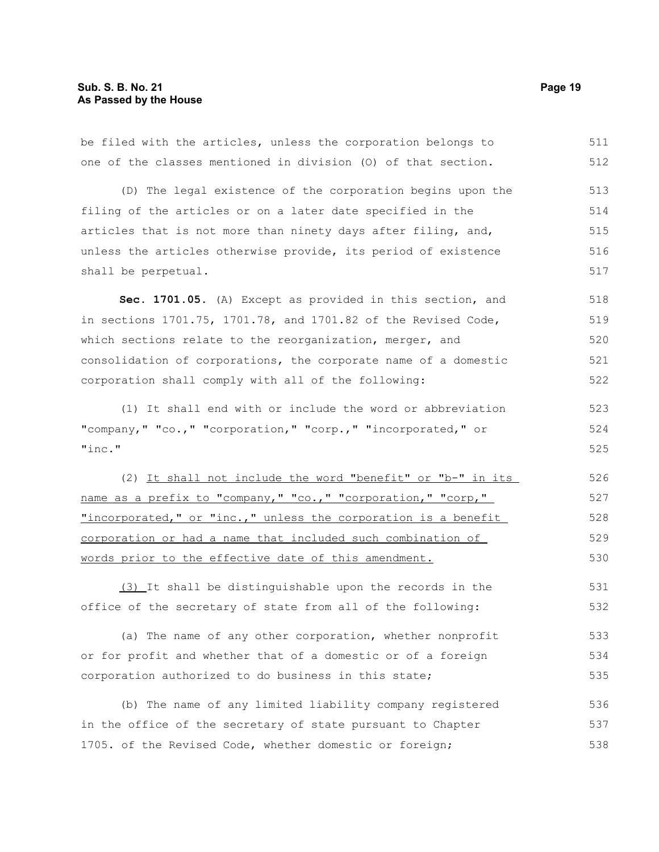be filed with the articles, unless the corporation belongs to one of the classes mentioned in division (O) of that section. 511 512

(D) The legal existence of the corporation begins upon the filing of the articles or on a later date specified in the articles that is not more than ninety days after filing, and, unless the articles otherwise provide, its period of existence shall be perpetual. 513 514 515 516 517

**Sec. 1701.05.** (A) Except as provided in this section, and in sections 1701.75, 1701.78, and 1701.82 of the Revised Code, which sections relate to the reorganization, merger, and consolidation of corporations, the corporate name of a domestic corporation shall comply with all of the following: 518 519 520 521 522

(1) It shall end with or include the word or abbreviation "company," "co.," "corporation," "corp.," "incorporated," or "inc." 523 524 525

(2) It shall not include the word "benefit" or "b-" in its name as a prefix to "company," "co.," "corporation," "corp," "incorporated," or "inc.," unless the corporation is a benefit corporation or had a name that included such combination of words prior to the effective date of this amendment. 526 527 528 529 530

(3) It shall be distinguishable upon the records in the office of the secretary of state from all of the following: 531 532

(a) The name of any other corporation, whether nonprofit or for profit and whether that of a domestic or of a foreign corporation authorized to do business in this state; 533 534 535

(b) The name of any limited liability company registered in the office of the secretary of state pursuant to Chapter 1705. of the Revised Code, whether domestic or foreign; 536 537 538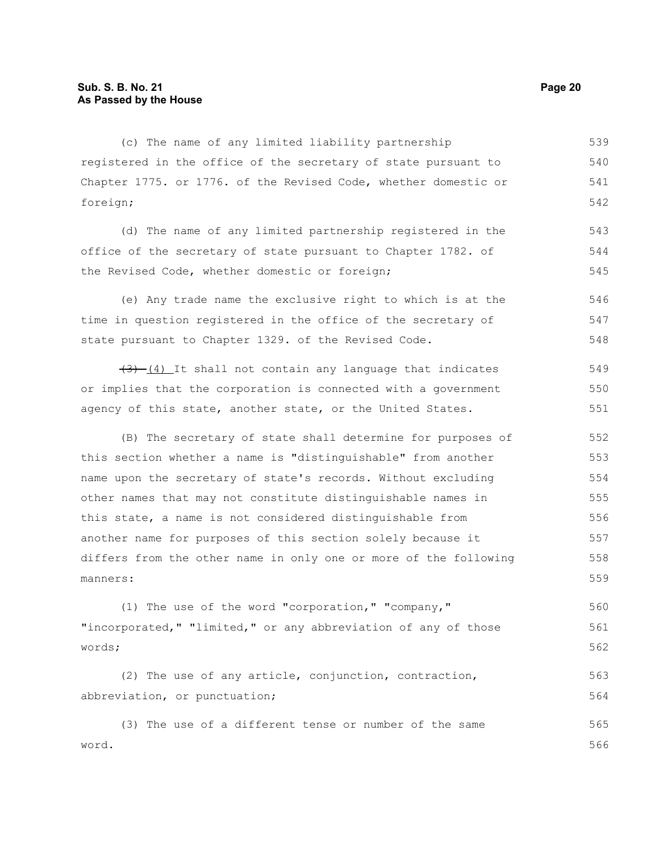(c) The name of any limited liability partnership registered in the office of the secretary of state pursuant to Chapter 1775. or 1776. of the Revised Code, whether domestic or foreign; 539 540 541 542

(d) The name of any limited partnership registered in the office of the secretary of state pursuant to Chapter 1782. of the Revised Code, whether domestic or foreign; 543 544 545

(e) Any trade name the exclusive right to which is at the time in question registered in the office of the secretary of state pursuant to Chapter 1329. of the Revised Code. 546 547 548

 $(3)$  (4) It shall not contain any language that indicates or implies that the corporation is connected with a government agency of this state, another state, or the United States. 549 550 551

(B) The secretary of state shall determine for purposes of this section whether a name is "distinguishable" from another name upon the secretary of state's records. Without excluding other names that may not constitute distinguishable names in this state, a name is not considered distinguishable from another name for purposes of this section solely because it differs from the other name in only one or more of the following manners: 552 553 554 555 556 557 558 559

(1) The use of the word "corporation," "company," "incorporated," "limited," or any abbreviation of any of those words; 560 561 562

(2) The use of any article, conjunction, contraction, abbreviation, or punctuation; 563 564

(3) The use of a different tense or number of the same word. 565 566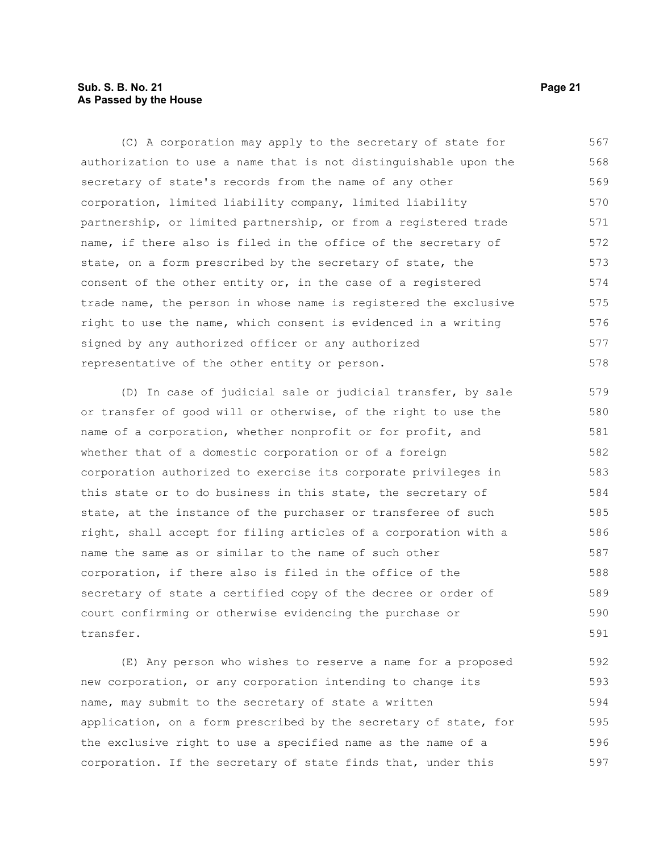# **Sub. S. B. No. 21 Page 21 As Passed by the House**

(C) A corporation may apply to the secretary of state for authorization to use a name that is not distinguishable upon the secretary of state's records from the name of any other corporation, limited liability company, limited liability partnership, or limited partnership, or from a registered trade name, if there also is filed in the office of the secretary of state, on a form prescribed by the secretary of state, the consent of the other entity or, in the case of a registered trade name, the person in whose name is registered the exclusive right to use the name, which consent is evidenced in a writing signed by any authorized officer or any authorized representative of the other entity or person. 567 568 569 570 571 572 573 574 575 576 577 578

(D) In case of judicial sale or judicial transfer, by sale or transfer of good will or otherwise, of the right to use the name of a corporation, whether nonprofit or for profit, and whether that of a domestic corporation or of a foreign corporation authorized to exercise its corporate privileges in this state or to do business in this state, the secretary of state, at the instance of the purchaser or transferee of such right, shall accept for filing articles of a corporation with a name the same as or similar to the name of such other corporation, if there also is filed in the office of the secretary of state a certified copy of the decree or order of court confirming or otherwise evidencing the purchase or transfer. 579 580 581 582 583 584 585 586 587 588 589 590 591

(E) Any person who wishes to reserve a name for a proposed new corporation, or any corporation intending to change its name, may submit to the secretary of state a written application, on a form prescribed by the secretary of state, for the exclusive right to use a specified name as the name of a corporation. If the secretary of state finds that, under this 592 593 594 595 596 597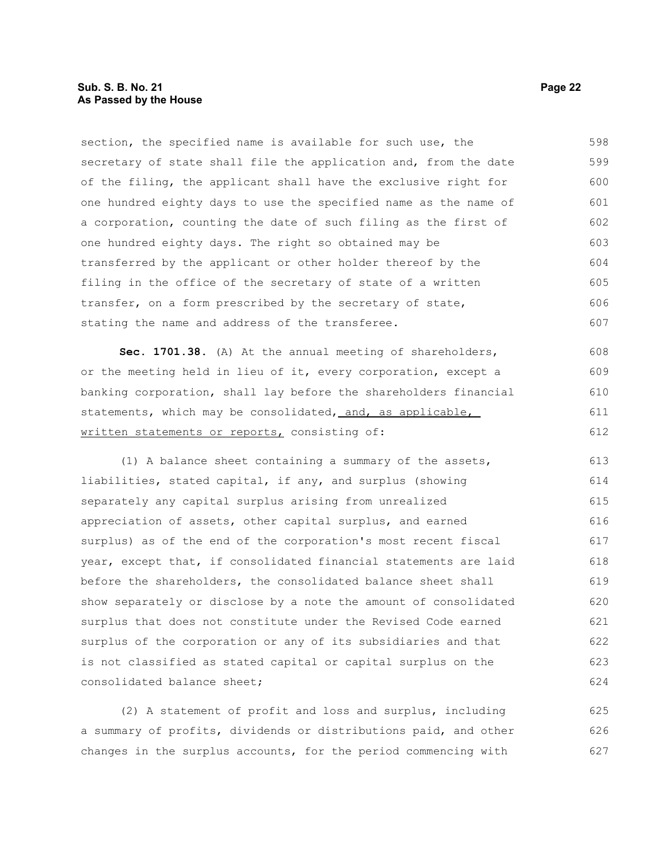section, the specified name is available for such use, the secretary of state shall file the application and, from the date of the filing, the applicant shall have the exclusive right for one hundred eighty days to use the specified name as the name of a corporation, counting the date of such filing as the first of one hundred eighty days. The right so obtained may be transferred by the applicant or other holder thereof by the filing in the office of the secretary of state of a written transfer, on a form prescribed by the secretary of state, stating the name and address of the transferee. 598 599 600 601 602 603 604 605 606 607

**Sec. 1701.38.** (A) At the annual meeting of shareholders, or the meeting held in lieu of it, every corporation, except a banking corporation, shall lay before the shareholders financial statements, which may be consolidated, and, as applicable, written statements or reports, consisting of: 608 609 610 611 612

(1) A balance sheet containing a summary of the assets, liabilities, stated capital, if any, and surplus (showing separately any capital surplus arising from unrealized appreciation of assets, other capital surplus, and earned surplus) as of the end of the corporation's most recent fiscal year, except that, if consolidated financial statements are laid before the shareholders, the consolidated balance sheet shall show separately or disclose by a note the amount of consolidated surplus that does not constitute under the Revised Code earned surplus of the corporation or any of its subsidiaries and that is not classified as stated capital or capital surplus on the consolidated balance sheet; 613 614 615 616 617 618 619 620 621 622 623 624

(2) A statement of profit and loss and surplus, including a summary of profits, dividends or distributions paid, and other changes in the surplus accounts, for the period commencing with 625 626 627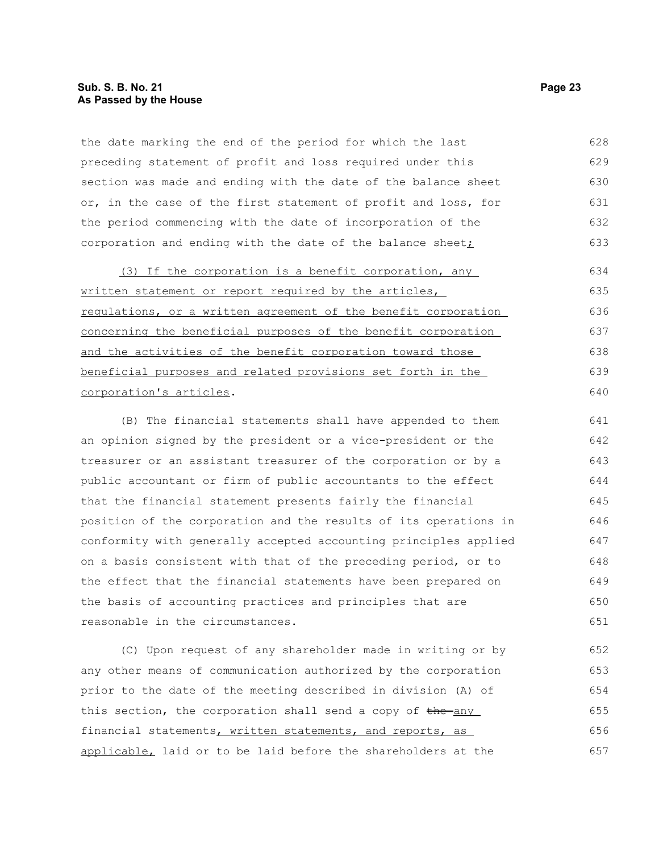# **Sub. S. B. No. 21 Page 23 As Passed by the House**

the date marking the end of the period for which the last preceding statement of profit and loss required under this section was made and ending with the date of the balance sheet or, in the case of the first statement of profit and loss, for the period commencing with the date of incorporation of the corporation and ending with the date of the balance sheet $\dot{I}$ 628 629 630 631 632 633

(3) If the corporation is a benefit corporation, any written statement or report required by the articles, regulations, or a written agreement of the benefit corporation concerning the beneficial purposes of the benefit corporation and the activities of the benefit corporation toward those beneficial purposes and related provisions set forth in the corporation's articles. 634 635 636 637 638 639 640

(B) The financial statements shall have appended to them an opinion signed by the president or a vice-president or the treasurer or an assistant treasurer of the corporation or by a public accountant or firm of public accountants to the effect that the financial statement presents fairly the financial position of the corporation and the results of its operations in conformity with generally accepted accounting principles applied on a basis consistent with that of the preceding period, or to the effect that the financial statements have been prepared on the basis of accounting practices and principles that are reasonable in the circumstances. 641 642 643 644 645 646 647 648 649 650 651

(C) Upon request of any shareholder made in writing or by any other means of communication authorized by the corporation prior to the date of the meeting described in division (A) of this section, the corporation shall send a copy of the any financial statements, written statements, and reports, as applicable, laid or to be laid before the shareholders at the 652 653 654 655 656 657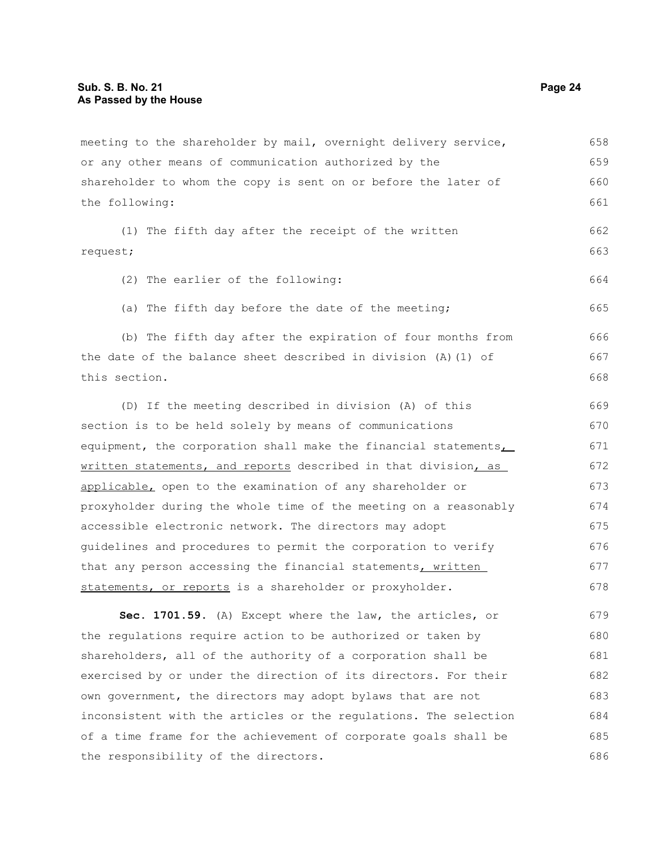meeting to the shareholder by mail, overnight delivery service, or any other means of communication authorized by the shareholder to whom the copy is sent on or before the later of the following: (1) The fifth day after the receipt of the written request; (2) The earlier of the following: (a) The fifth day before the date of the meeting; (b) The fifth day after the expiration of four months from the date of the balance sheet described in division (A)(1) of this section. (D) If the meeting described in division (A) of this section is to be held solely by means of communications equipment, the corporation shall make the financial statements, written statements, and reports described in that division, as applicable, open to the examination of any shareholder or proxyholder during the whole time of the meeting on a reasonably accessible electronic network. The directors may adopt guidelines and procedures to permit the corporation to verify that any person accessing the financial statements, written statements, or reports is a shareholder or proxyholder. **Sec. 1701.59.** (A) Except where the law, the articles, or the regulations require action to be authorized or taken by shareholders, all of the authority of a corporation shall be exercised by or under the direction of its directors. For their own government, the directors may adopt bylaws that are not inconsistent with the articles or the regulations. The selection 658 659 660 661 662 663 664 665 666 667 668 669 670 671 672 673 674 675 676 677 678 679 680 681 682 683 684

of a time frame for the achievement of corporate goals shall be

the responsibility of the directors.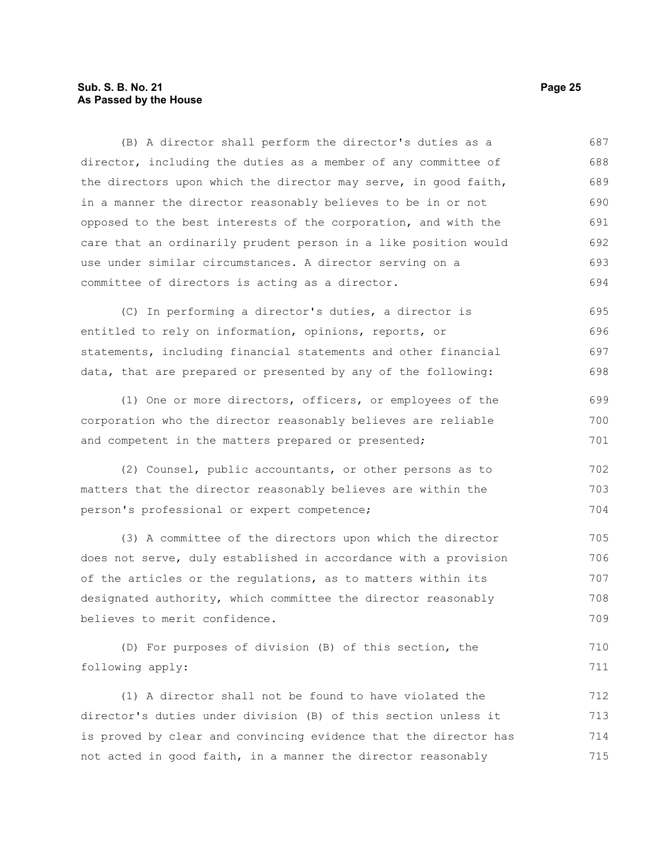# **Sub. S. B. No. 21 Page 25 As Passed by the House**

(B) A director shall perform the director's duties as a director, including the duties as a member of any committee of the directors upon which the director may serve, in good faith, in a manner the director reasonably believes to be in or not opposed to the best interests of the corporation, and with the care that an ordinarily prudent person in a like position would use under similar circumstances. A director serving on a committee of directors is acting as a director. 687 688 689 690 691 692 693 694

(C) In performing a director's duties, a director is entitled to rely on information, opinions, reports, or statements, including financial statements and other financial data, that are prepared or presented by any of the following: 695 696 697 698

(1) One or more directors, officers, or employees of the corporation who the director reasonably believes are reliable and competent in the matters prepared or presented; 699 700 701

(2) Counsel, public accountants, or other persons as to matters that the director reasonably believes are within the person's professional or expert competence; 702 703 704

(3) A committee of the directors upon which the director does not serve, duly established in accordance with a provision of the articles or the regulations, as to matters within its designated authority, which committee the director reasonably believes to merit confidence. 705 706 707 708 709

(D) For purposes of division (B) of this section, the following apply: 710 711

(1) A director shall not be found to have violated the director's duties under division (B) of this section unless it is proved by clear and convincing evidence that the director has not acted in good faith, in a manner the director reasonably 712 713 714 715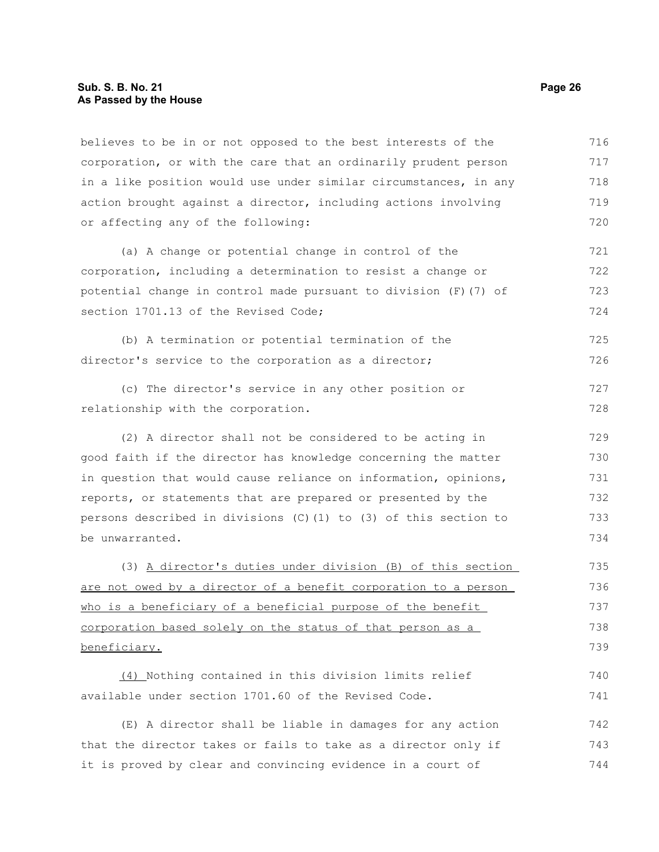#### **Sub. S. B. No. 21 Page 26 As Passed by the House**

believes to be in or not opposed to the best interests of the corporation, or with the care that an ordinarily prudent person in a like position would use under similar circumstances, in any action brought against a director, including actions involving or affecting any of the following: 716 717 718 719 720

(a) A change or potential change in control of the corporation, including a determination to resist a change or potential change in control made pursuant to division (F)(7) of section 1701.13 of the Revised Code: 721 722 723 724

(b) A termination or potential termination of the director's service to the corporation as a director; 725 726

(c) The director's service in any other position or relationship with the corporation. 727 728

(2) A director shall not be considered to be acting in good faith if the director has knowledge concerning the matter in question that would cause reliance on information, opinions, reports, or statements that are prepared or presented by the persons described in divisions (C)(1) to (3) of this section to be unwarranted. 729 730 731 732 733 734

(3) A director's duties under division (B) of this section are not owed by a director of a benefit corporation to a person who is a beneficiary of a beneficial purpose of the benefit corporation based solely on the status of that person as a beneficiary. 735 736 737 738 739

(4) Nothing contained in this division limits relief available under section 1701.60 of the Revised Code. 740 741

(E) A director shall be liable in damages for any action that the director takes or fails to take as a director only if it is proved by clear and convincing evidence in a court of 742 743 744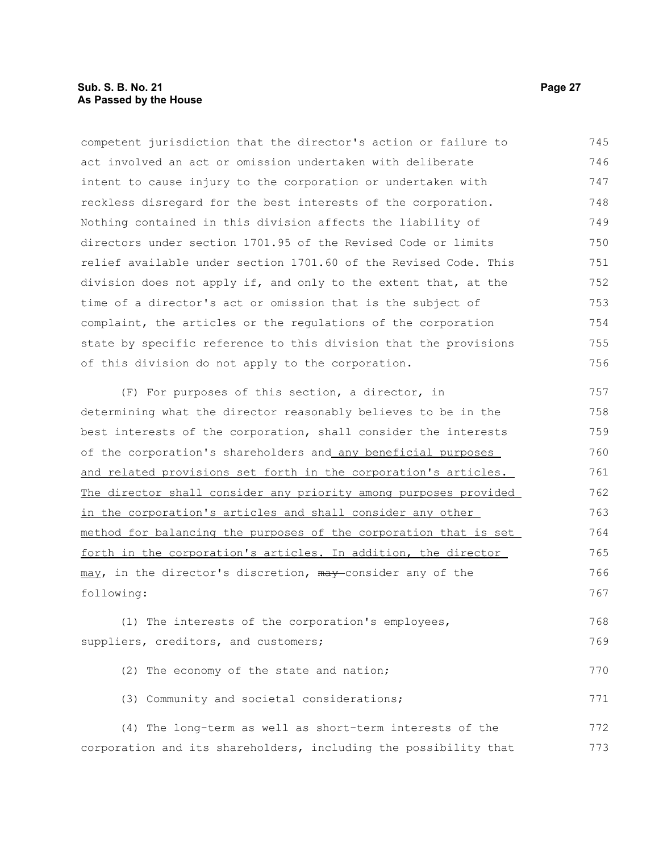# **Sub. S. B. No. 21 Page 27 As Passed by the House**

competent jurisdiction that the director's action or failure to act involved an act or omission undertaken with deliberate intent to cause injury to the corporation or undertaken with reckless disregard for the best interests of the corporation. Nothing contained in this division affects the liability of directors under section 1701.95 of the Revised Code or limits relief available under section 1701.60 of the Revised Code. This division does not apply if, and only to the extent that, at the time of a director's act or omission that is the subject of complaint, the articles or the regulations of the corporation state by specific reference to this division that the provisions of this division do not apply to the corporation. 745 746 747 748 749 750 751 752 753 754 755 756

(F) For purposes of this section, a director, in determining what the director reasonably believes to be in the best interests of the corporation, shall consider the interests of the corporation's shareholders and any beneficial purposes and related provisions set forth in the corporation's articles. The director shall consider any priority among purposes provided in the corporation's articles and shall consider any other method for balancing the purposes of the corporation that is set forth in the corporation's articles. In addition, the director may, in the director's discretion, may consider any of the following: 757 758 759 760 761 762 763 764 765 766 767

(1) The interests of the corporation's employees, suppliers, creditors, and customers; 768 769

| (2) The economy of the state and nation;   | 770 |
|--------------------------------------------|-----|
| (3) Community and societal considerations; | 771 |

(4) The long-term as well as short-term interests of the corporation and its shareholders, including the possibility that 772 773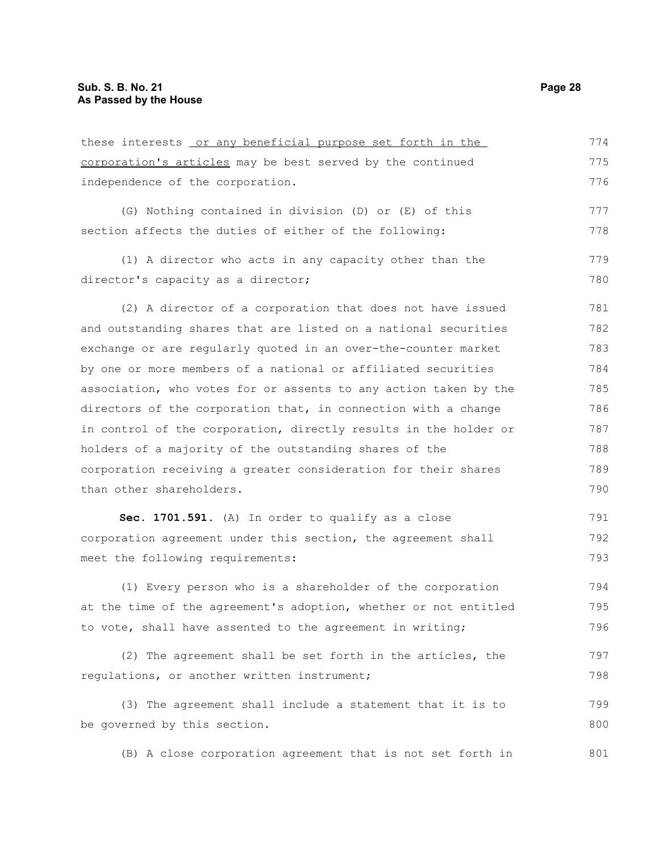| these interests or any beneficial purpose set forth in the       | 774 |
|------------------------------------------------------------------|-----|
| corporation's articles may be best served by the continued       | 775 |
| independence of the corporation.                                 | 776 |
| (G) Nothing contained in division (D) or (E) of this             | 777 |
| section affects the duties of either of the following:           | 778 |
| (1) A director who acts in any capacity other than the           | 779 |
| director's capacity as a director;                               | 780 |
| (2) A director of a corporation that does not have issued        | 781 |
| and outstanding shares that are listed on a national securities  | 782 |
| exchange or are regularly quoted in an over-the-counter market   | 783 |
| by one or more members of a national or affiliated securities    | 784 |
| association, who votes for or assents to any action taken by the | 785 |
| directors of the corporation that, in connection with a change   | 786 |
| in control of the corporation, directly results in the holder or | 787 |
| holders of a majority of the outstanding shares of the           | 788 |
| corporation receiving a greater consideration for their shares   | 789 |
| than other shareholders.                                         | 790 |
| Sec. 1701.591. (A) In order to qualify as a close                | 791 |
| corporation agreement under this section, the agreement shall    | 792 |
| meet the following requirements:                                 | 793 |
| (1) Every person who is a shareholder of the corporation         | 794 |
| at the time of the agreement's adoption, whether or not entitled | 795 |
| to vote, shall have assented to the agreement in writing;        | 796 |
| (2) The agreement shall be set forth in the articles, the        | 797 |

(3) The agreement shall include a statement that it is to be governed by this section. 799 800

regulations, or another written instrument;

(B) A close corporation agreement that is not set forth in 801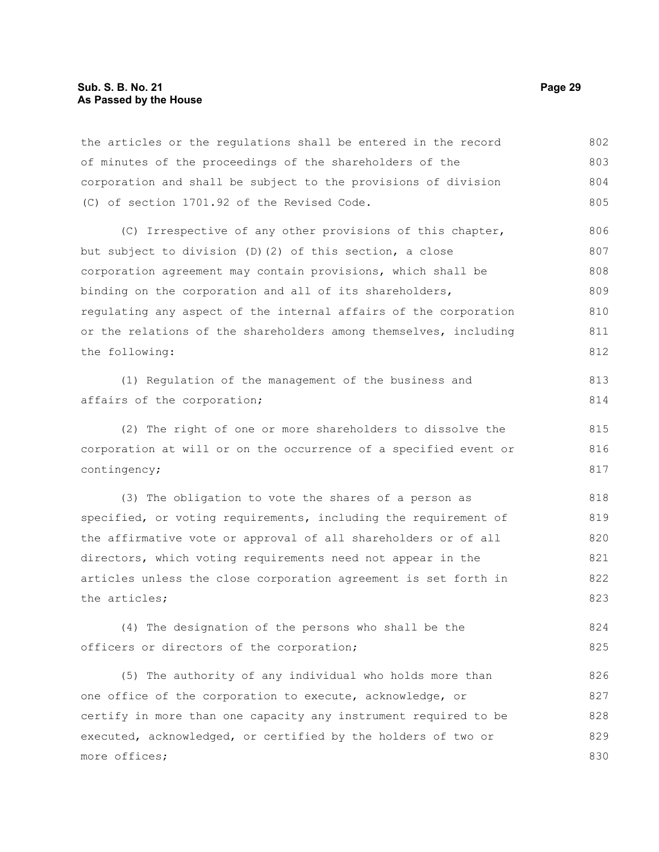the articles or the regulations shall be entered in the record of minutes of the proceedings of the shareholders of the corporation and shall be subject to the provisions of division (C) of section 1701.92 of the Revised Code. 802 803 804 805

(C) Irrespective of any other provisions of this chapter, but subject to division (D)(2) of this section, a close corporation agreement may contain provisions, which shall be binding on the corporation and all of its shareholders, regulating any aspect of the internal affairs of the corporation or the relations of the shareholders among themselves, including the following: 806 807 808 809 810 811 812

(1) Regulation of the management of the business and affairs of the corporation; 813 814

(2) The right of one or more shareholders to dissolve the corporation at will or on the occurrence of a specified event or contingency;

(3) The obligation to vote the shares of a person as specified, or voting requirements, including the requirement of the affirmative vote or approval of all shareholders or of all directors, which voting requirements need not appear in the articles unless the close corporation agreement is set forth in the articles; 818 819 820 821 822 823

(4) The designation of the persons who shall be the officers or directors of the corporation; 824 825

(5) The authority of any individual who holds more than one office of the corporation to execute, acknowledge, or certify in more than one capacity any instrument required to be executed, acknowledged, or certified by the holders of two or more offices; 826 827 828 829 830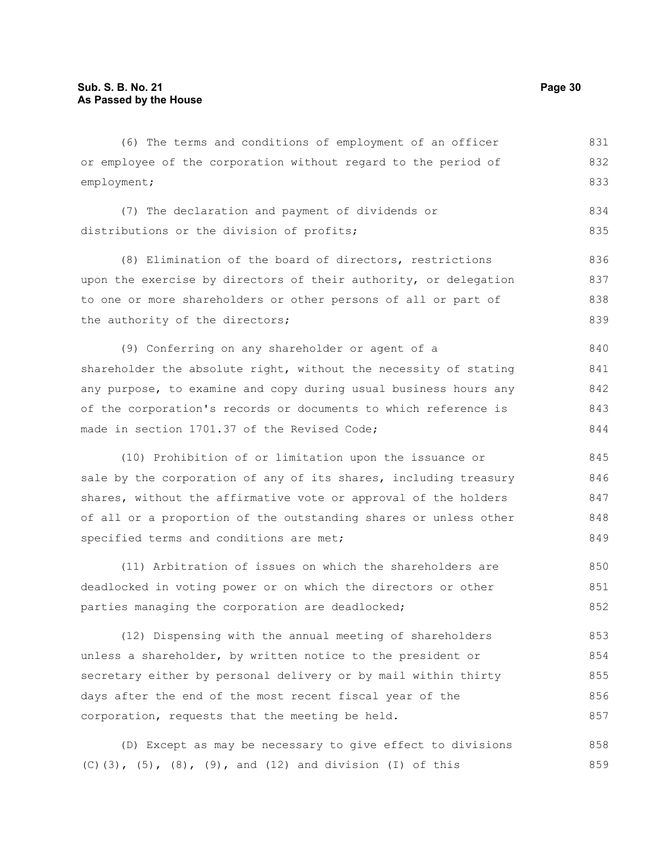(6) The terms and conditions of employment of an officer or employee of the corporation without regard to the period of employment; (7) The declaration and payment of dividends or distributions or the division of profits; (8) Elimination of the board of directors, restrictions upon the exercise by directors of their authority, or delegation to one or more shareholders or other persons of all or part of the authority of the directors; (9) Conferring on any shareholder or agent of a shareholder the absolute right, without the necessity of stating any purpose, to examine and copy during usual business hours any of the corporation's records or documents to which reference is made in section 1701.37 of the Revised Code; (10) Prohibition of or limitation upon the issuance or sale by the corporation of any of its shares, including treasury shares, without the affirmative vote or approval of the holders of all or a proportion of the outstanding shares or unless other specified terms and conditions are met; (11) Arbitration of issues on which the shareholders are deadlocked in voting power or on which the directors or other 831 832 833 834 835 836 837 838 839 840 841 842 843 844 845 846 847 848 849 850 851

(12) Dispensing with the annual meeting of shareholders unless a shareholder, by written notice to the president or secretary either by personal delivery or by mail within thirty days after the end of the most recent fiscal year of the corporation, requests that the meeting be held. 853 854 855 856 857

parties managing the corporation are deadlocked;

(D) Except as may be necessary to give effect to divisions (C)(3), (5), (8), (9), and (12) and division (I) of this 858 859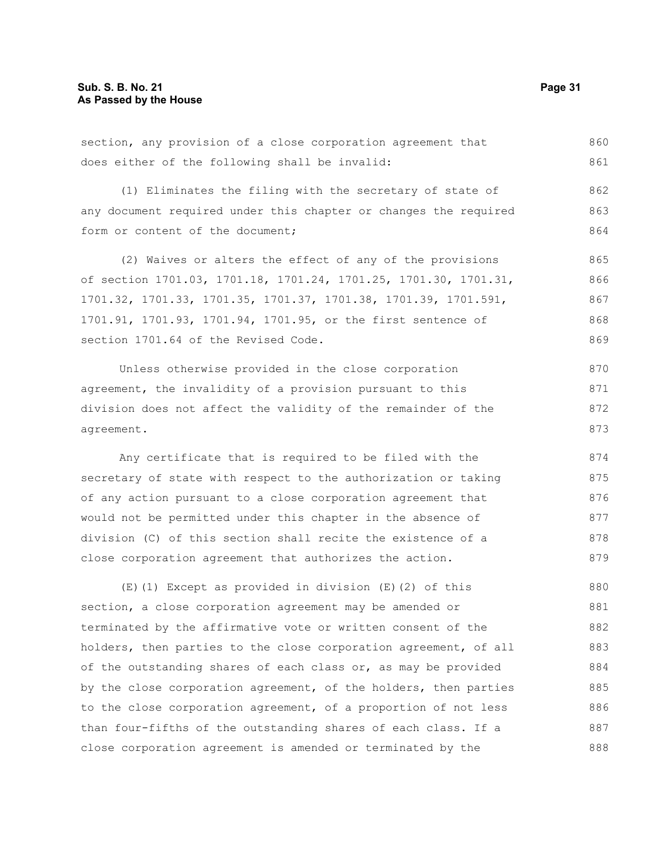section, any provision of a close corporation agreement that does either of the following shall be invalid: (1) Eliminates the filing with the secretary of state of any document required under this chapter or changes the required form or content of the document; (2) Waives or alters the effect of any of the provisions of section 1701.03, 1701.18, 1701.24, 1701.25, 1701.30, 1701.31, 1701.32, 1701.33, 1701.35, 1701.37, 1701.38, 1701.39, 1701.591, 1701.91, 1701.93, 1701.94, 1701.95, or the first sentence of section 1701.64 of the Revised Code. Unless otherwise provided in the close corporation agreement, the invalidity of a provision pursuant to this division does not affect the validity of the remainder of the agreement. Any certificate that is required to be filed with the secretary of state with respect to the authorization or taking of any action pursuant to a close corporation agreement that would not be permitted under this chapter in the absence of division (C) of this section shall recite the existence of a 860 861 862 863 864 865 866 867 868 869 870 871 872 873 874 875 876 877 878

(E)(1) Except as provided in division (E)(2) of this section, a close corporation agreement may be amended or terminated by the affirmative vote or written consent of the holders, then parties to the close corporation agreement, of all of the outstanding shares of each class or, as may be provided by the close corporation agreement, of the holders, then parties to the close corporation agreement, of a proportion of not less than four-fifths of the outstanding shares of each class. If a close corporation agreement is amended or terminated by the 880 881 882 883 884 885 886 887 888

close corporation agreement that authorizes the action.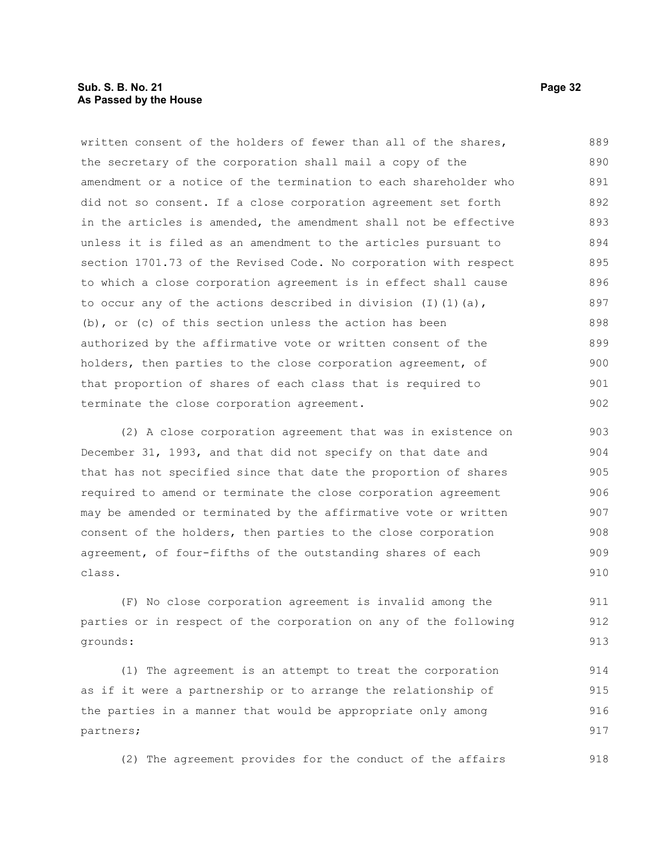# **Sub. S. B. No. 21 Page 32 As Passed by the House**

written consent of the holders of fewer than all of the shares, the secretary of the corporation shall mail a copy of the amendment or a notice of the termination to each shareholder who did not so consent. If a close corporation agreement set forth in the articles is amended, the amendment shall not be effective unless it is filed as an amendment to the articles pursuant to section 1701.73 of the Revised Code. No corporation with respect to which a close corporation agreement is in effect shall cause to occur any of the actions described in division  $(I)$   $(I)$   $(a)$ , (b), or (c) of this section unless the action has been authorized by the affirmative vote or written consent of the holders, then parties to the close corporation agreement, of that proportion of shares of each class that is required to terminate the close corporation agreement. 889 890 891 892 893 894 895 896 897 898 899 900 901 902

(2) A close corporation agreement that was in existence on December 31, 1993, and that did not specify on that date and that has not specified since that date the proportion of shares required to amend or terminate the close corporation agreement may be amended or terminated by the affirmative vote or written consent of the holders, then parties to the close corporation agreement, of four-fifths of the outstanding shares of each class. 903 904 905 906 907 908 909 910

(F) No close corporation agreement is invalid among the parties or in respect of the corporation on any of the following grounds: 911 912 913

(1) The agreement is an attempt to treat the corporation as if it were a partnership or to arrange the relationship of the parties in a manner that would be appropriate only among partners; 914 915 916 917

(2) The agreement provides for the conduct of the affairs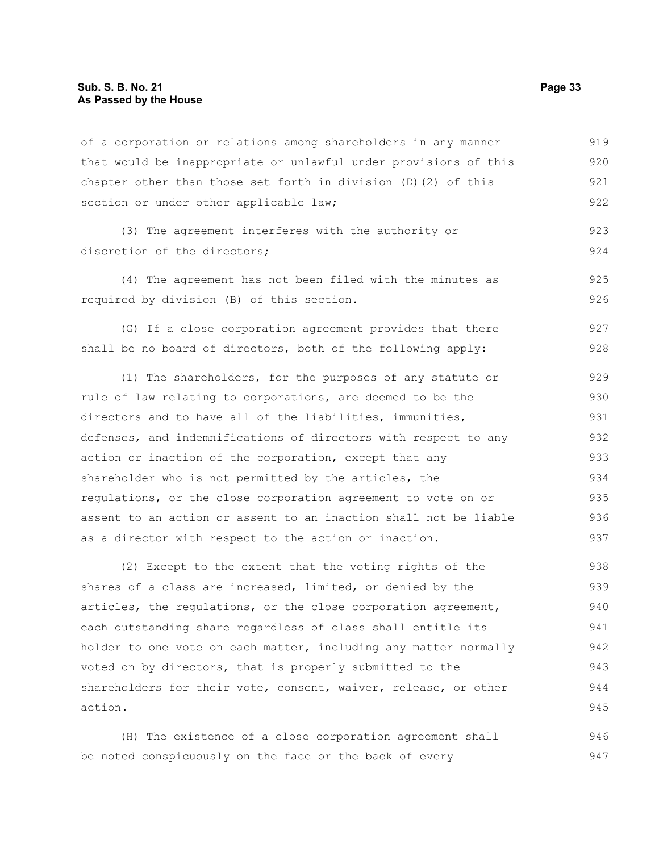of a corporation or relations among shareholders in any manner that would be inappropriate or unlawful under provisions of this chapter other than those set forth in division (D)(2) of this section or under other applicable law; 919 920 921 922

(3) The agreement interferes with the authority or discretion of the directors: 923 924

(4) The agreement has not been filed with the minutes as required by division (B) of this section.

(G) If a close corporation agreement provides that there shall be no board of directors, both of the following apply: 927 928

(1) The shareholders, for the purposes of any statute or rule of law relating to corporations, are deemed to be the directors and to have all of the liabilities, immunities, defenses, and indemnifications of directors with respect to any action or inaction of the corporation, except that any shareholder who is not permitted by the articles, the regulations, or the close corporation agreement to vote on or assent to an action or assent to an inaction shall not be liable as a director with respect to the action or inaction. 929 930 931 932 933 934 935 936 937

(2) Except to the extent that the voting rights of the shares of a class are increased, limited, or denied by the articles, the regulations, or the close corporation agreement, each outstanding share regardless of class shall entitle its holder to one vote on each matter, including any matter normally voted on by directors, that is properly submitted to the shareholders for their vote, consent, waiver, release, or other action. 938 939 940 941 942 943 944 945

(H) The existence of a close corporation agreement shall be noted conspicuously on the face or the back of every 946 947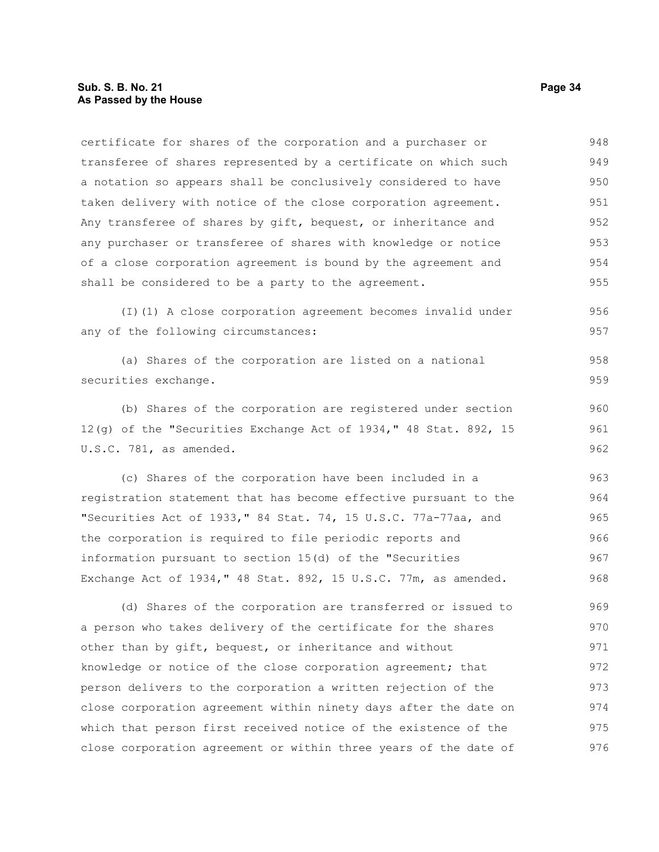certificate for shares of the corporation and a purchaser or transferee of shares represented by a certificate on which such a notation so appears shall be conclusively considered to have taken delivery with notice of the close corporation agreement. Any transferee of shares by gift, bequest, or inheritance and any purchaser or transferee of shares with knowledge or notice of a close corporation agreement is bound by the agreement and shall be considered to be a party to the agreement. 948 949 950 951 952 953 954 955

(I)(1) A close corporation agreement becomes invalid under any of the following circumstances: 956

(a) Shares of the corporation are listed on a national securities exchange. 958 959

(b) Shares of the corporation are registered under section 12(g) of the "Securities Exchange Act of 1934," 48 Stat. 892, 15 U.S.C. 781, as amended.

(c) Shares of the corporation have been included in a registration statement that has become effective pursuant to the "Securities Act of 1933," 84 Stat. 74, 15 U.S.C. 77a-77aa, and the corporation is required to file periodic reports and information pursuant to section 15(d) of the "Securities Exchange Act of 1934," 48 Stat. 892, 15 U.S.C. 77m, as amended. 963 964 965 966 967 968

(d) Shares of the corporation are transferred or issued to a person who takes delivery of the certificate for the shares other than by gift, bequest, or inheritance and without knowledge or notice of the close corporation agreement; that person delivers to the corporation a written rejection of the close corporation agreement within ninety days after the date on which that person first received notice of the existence of the close corporation agreement or within three years of the date of 969 970 971 972 973 974 975 976

957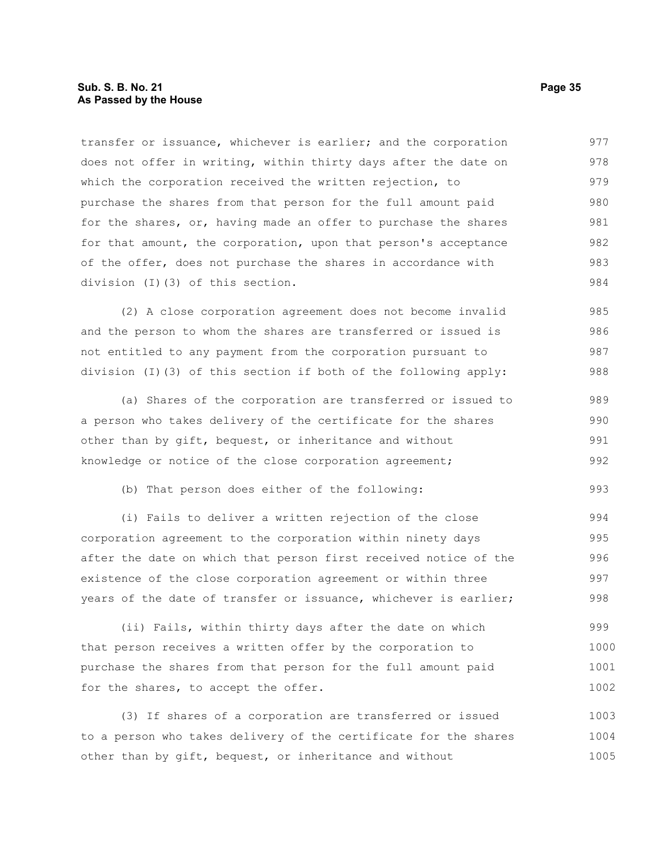# **Sub. S. B. No. 21 Page 35 As Passed by the House**

transfer or issuance, whichever is earlier; and the corporation does not offer in writing, within thirty days after the date on which the corporation received the written rejection, to purchase the shares from that person for the full amount paid for the shares, or, having made an offer to purchase the shares for that amount, the corporation, upon that person's acceptance of the offer, does not purchase the shares in accordance with division (I)(3) of this section. 977 978 979 980 981 982 983 984

(2) A close corporation agreement does not become invalid and the person to whom the shares are transferred or issued is not entitled to any payment from the corporation pursuant to division (I)(3) of this section if both of the following apply: 985 986 987 988

(a) Shares of the corporation are transferred or issued to a person who takes delivery of the certificate for the shares other than by gift, bequest, or inheritance and without knowledge or notice of the close corporation agreement; 989 990 991 992

(b) That person does either of the following:

(i) Fails to deliver a written rejection of the close corporation agreement to the corporation within ninety days after the date on which that person first received notice of the existence of the close corporation agreement or within three years of the date of transfer or issuance, whichever is earlier; 994 995 996 997 998

(ii) Fails, within thirty days after the date on which that person receives a written offer by the corporation to purchase the shares from that person for the full amount paid for the shares, to accept the offer. 999 1000 1001 1002

(3) If shares of a corporation are transferred or issued to a person who takes delivery of the certificate for the shares other than by gift, bequest, or inheritance and without 1003 1004 1005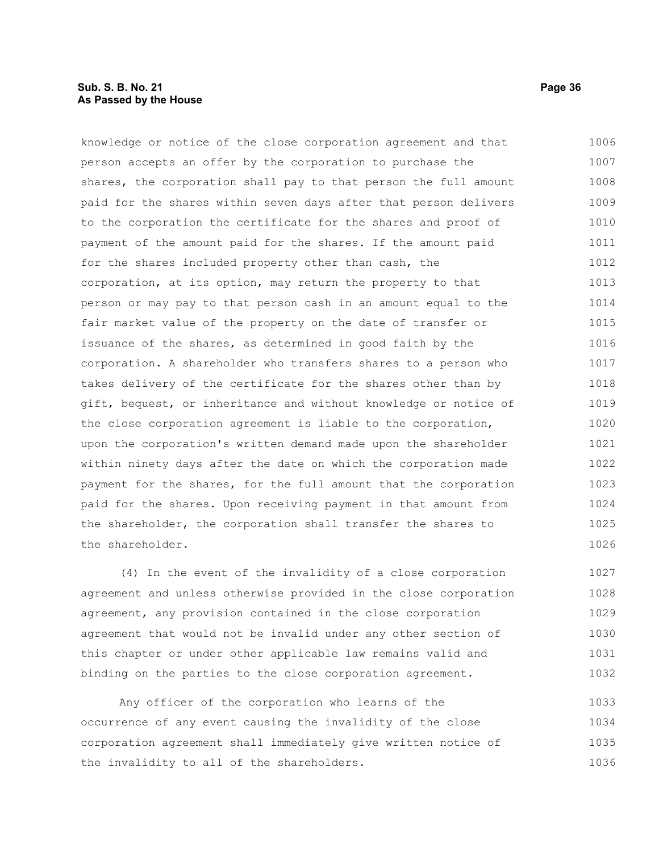# **Sub. S. B. No. 21 Page 36 As Passed by the House**

knowledge or notice of the close corporation agreement and that person accepts an offer by the corporation to purchase the shares, the corporation shall pay to that person the full amount paid for the shares within seven days after that person delivers to the corporation the certificate for the shares and proof of payment of the amount paid for the shares. If the amount paid for the shares included property other than cash, the corporation, at its option, may return the property to that person or may pay to that person cash in an amount equal to the fair market value of the property on the date of transfer or issuance of the shares, as determined in good faith by the corporation. A shareholder who transfers shares to a person who takes delivery of the certificate for the shares other than by gift, bequest, or inheritance and without knowledge or notice of the close corporation agreement is liable to the corporation, upon the corporation's written demand made upon the shareholder within ninety days after the date on which the corporation made payment for the shares, for the full amount that the corporation paid for the shares. Upon receiving payment in that amount from the shareholder, the corporation shall transfer the shares to the shareholder. 1006 1007 1008 1009 1010 1011 1012 1013 1014 1015 1016 1017 1018 1019 1020 1021 1022 1023 1024 1025 1026

(4) In the event of the invalidity of a close corporation agreement and unless otherwise provided in the close corporation agreement, any provision contained in the close corporation agreement that would not be invalid under any other section of this chapter or under other applicable law remains valid and binding on the parties to the close corporation agreement. 1027 1028 1029 1030 1031 1032

Any officer of the corporation who learns of the occurrence of any event causing the invalidity of the close corporation agreement shall immediately give written notice of the invalidity to all of the shareholders. 1033 1034 1035 1036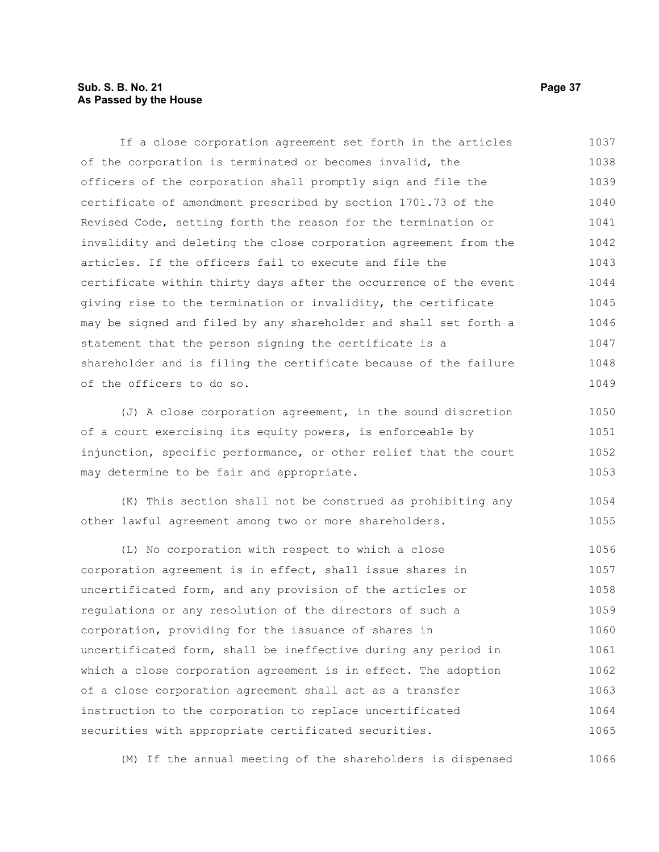# **Sub. S. B. No. 21 Page 37 As Passed by the House**

If a close corporation agreement set forth in the articles of the corporation is terminated or becomes invalid, the officers of the corporation shall promptly sign and file the certificate of amendment prescribed by section 1701.73 of the Revised Code, setting forth the reason for the termination or invalidity and deleting the close corporation agreement from the articles. If the officers fail to execute and file the certificate within thirty days after the occurrence of the event giving rise to the termination or invalidity, the certificate may be signed and filed by any shareholder and shall set forth a statement that the person signing the certificate is a shareholder and is filing the certificate because of the failure of the officers to do so. 1037 1038 1039 1040 1041 1042 1043 1044 1045 1046 1047 1048 1049

(J) A close corporation agreement, in the sound discretion of a court exercising its equity powers, is enforceable by injunction, specific performance, or other relief that the court may determine to be fair and appropriate. 1050 1051 1052 1053

(K) This section shall not be construed as prohibiting any other lawful agreement among two or more shareholders. 1054 1055

(L) No corporation with respect to which a close corporation agreement is in effect, shall issue shares in uncertificated form, and any provision of the articles or regulations or any resolution of the directors of such a corporation, providing for the issuance of shares in uncertificated form, shall be ineffective during any period in which a close corporation agreement is in effect. The adoption of a close corporation agreement shall act as a transfer instruction to the corporation to replace uncertificated securities with appropriate certificated securities. 1056 1057 1058 1059 1060 1061 1062 1063 1064 1065

(M) If the annual meeting of the shareholders is dispensed 1066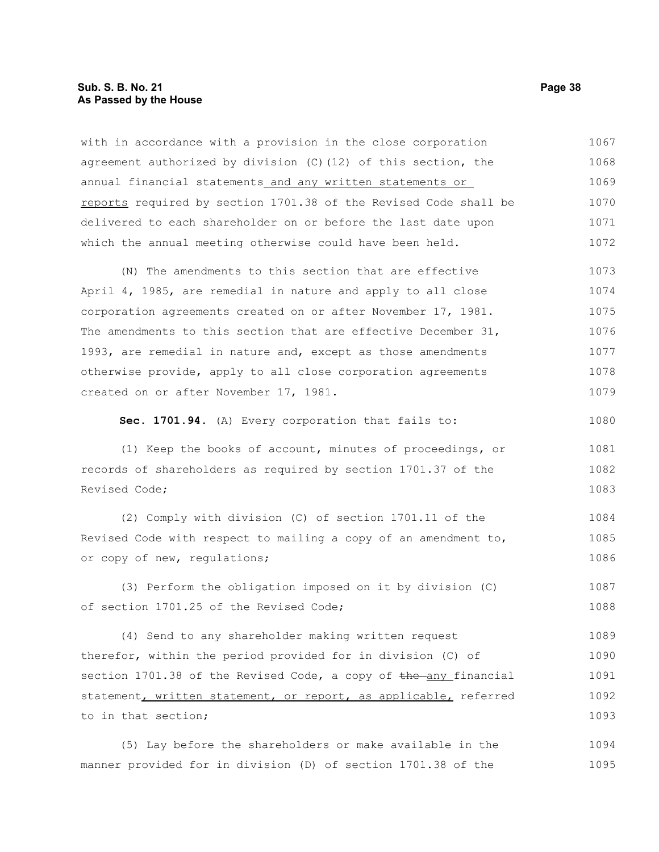### **Sub. S. B. No. 21 Page 38 As Passed by the House**

with in accordance with a provision in the close corporation agreement authorized by division (C)(12) of this section, the annual financial statements and any written statements or reports required by section 1701.38 of the Revised Code shall be delivered to each shareholder on or before the last date upon which the annual meeting otherwise could have been held. 1067 1068 1069 1070 1071 1072

(N) The amendments to this section that are effective April 4, 1985, are remedial in nature and apply to all close corporation agreements created on or after November 17, 1981. The amendments to this section that are effective December 31, 1993, are remedial in nature and, except as those amendments otherwise provide, apply to all close corporation agreements created on or after November 17, 1981. 1073 1074 1075 1076 1077 1078 1079

**Sec. 1701.94.** (A) Every corporation that fails to:

(1) Keep the books of account, minutes of proceedings, or records of shareholders as required by section 1701.37 of the Revised Code; 1081 1082 1083

(2) Comply with division (C) of section 1701.11 of the Revised Code with respect to mailing a copy of an amendment to, or copy of new, regulations; 1084 1085 1086

(3) Perform the obligation imposed on it by division (C) of section 1701.25 of the Revised Code; 1087 1088

(4) Send to any shareholder making written request therefor, within the period provided for in division (C) of section  $1701.38$  of the Revised Code, a copy of the any financial statement, written statement, or report, as applicable, referred to in that section; 1089 1090 1091 1092 1093

(5) Lay before the shareholders or make available in the manner provided for in division (D) of section 1701.38 of the 1094 1095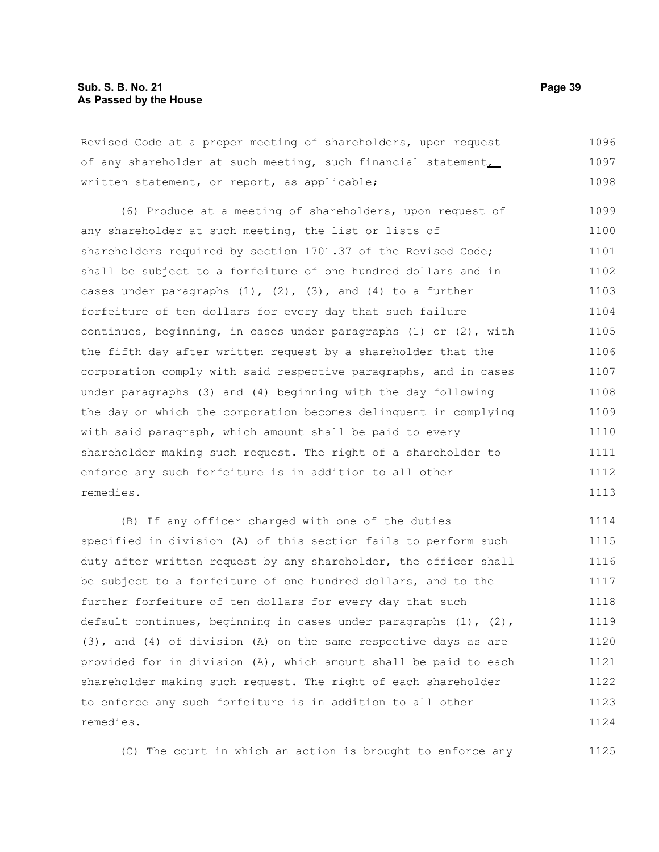Revised Code at a proper meeting of shareholders, upon request of any shareholder at such meeting, such financial statement, written statement, or report, as applicable; 1096 1097 1098

(6) Produce at a meeting of shareholders, upon request of any shareholder at such meeting, the list or lists of shareholders required by section 1701.37 of the Revised Code; shall be subject to a forfeiture of one hundred dollars and in cases under paragraphs  $(1)$ ,  $(2)$ ,  $(3)$ , and  $(4)$  to a further forfeiture of ten dollars for every day that such failure continues, beginning, in cases under paragraphs (1) or (2), with the fifth day after written request by a shareholder that the corporation comply with said respective paragraphs, and in cases under paragraphs (3) and (4) beginning with the day following the day on which the corporation becomes delinquent in complying with said paragraph, which amount shall be paid to every shareholder making such request. The right of a shareholder to enforce any such forfeiture is in addition to all other remedies. 1099 1100 1101 1102 1103 1104 1105 1106 1107 1108 1109 1110 1111 1112 1113

(B) If any officer charged with one of the duties specified in division (A) of this section fails to perform such duty after written request by any shareholder, the officer shall be subject to a forfeiture of one hundred dollars, and to the further forfeiture of ten dollars for every day that such default continues, beginning in cases under paragraphs  $(1)$ ,  $(2)$ , (3), and (4) of division (A) on the same respective days as are provided for in division (A), which amount shall be paid to each shareholder making such request. The right of each shareholder to enforce any such forfeiture is in addition to all other remedies. 1114 1115 1116 1117 1118 1119 1120 1121 1122 1123 1124

(C) The court in which an action is brought to enforce any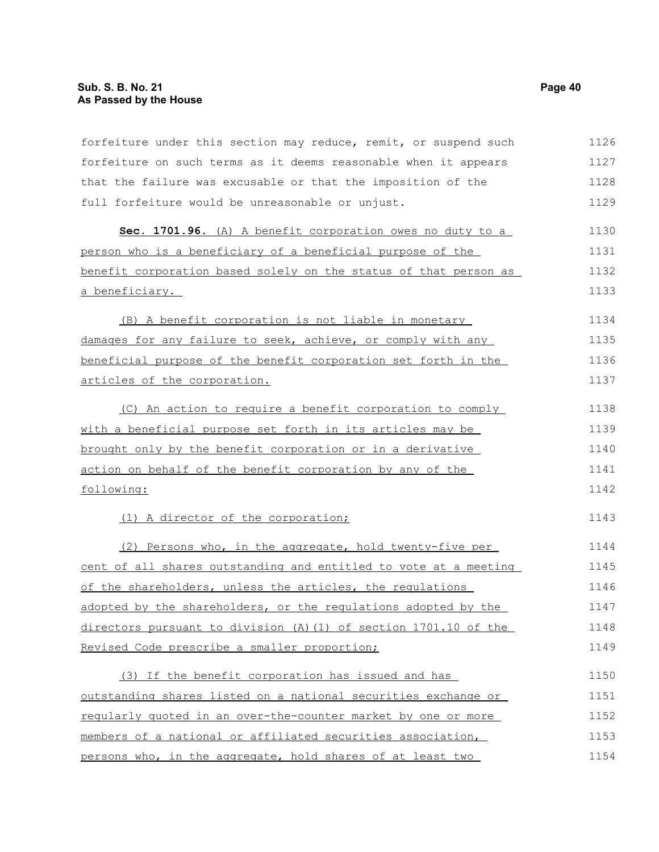forfeiture under this section may reduce, remit, or suspend such forfeiture on such terms as it deems reasonable when it appears that the failure was excusable or that the imposition of the full forfeiture would be unreasonable or unjust. **Sec. 1701.96.** (A) A benefit corporation owes no duty to a person who is a beneficiary of a beneficial purpose of the benefit corporation based solely on the status of that person as a beneficiary. (B) A benefit corporation is not liable in monetary damages for any failure to seek, achieve, or comply with any beneficial purpose of the benefit corporation set forth in the articles of the corporation. (C) An action to require a benefit corporation to comply with a beneficial purpose set forth in its articles may be brought only by the benefit corporation or in a derivative action on behalf of the benefit corporation by any of the following: (1) A director of the corporation; (2) Persons who, in the aggregate, hold twenty-five per cent of all shares outstanding and entitled to vote at a meeting of the shareholders, unless the articles, the regulations adopted by the shareholders, or the regulations adopted by the directors pursuant to division (A)(1) of section 1701.10 of the Revised Code prescribe a smaller proportion; (3) If the benefit corporation has issued and has outstanding shares listed on a national securities exchange or regularly quoted in an over-the-counter market by one or more members of a national or affiliated securities association, persons who, in the aggregate, hold shares of at least two 1126 1127 1128 1129 1130 1131 1132 1133 1134 1135 1136 1137 1138 1139 1140 1141 1142 1143 1144 1145 1146 1147 1148 1149 1150 1151 1152 1153 1154